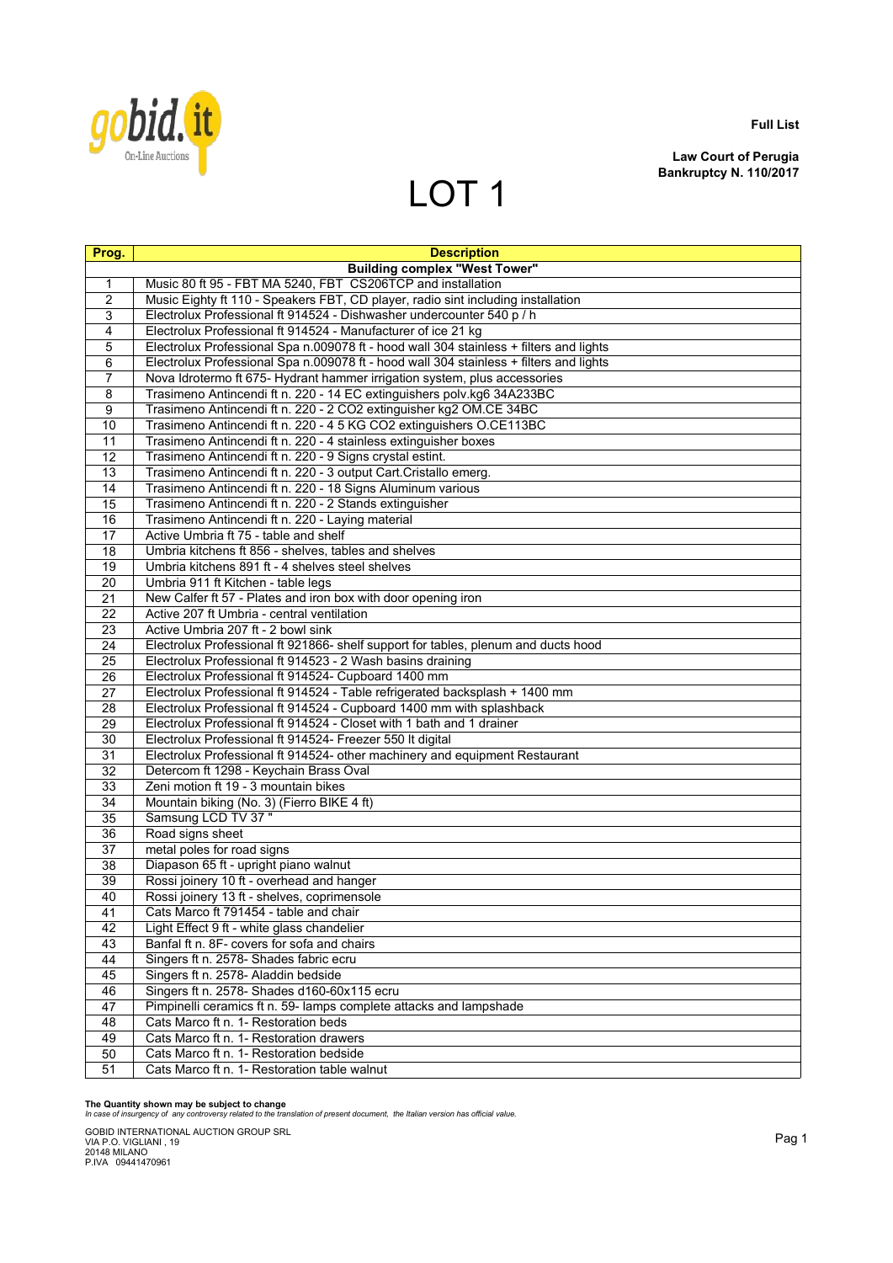

**Law Court of Perugia Bankruptcy N. 110/2017**

# LOT<sub>1</sub>

| Prog.          | <b>Description</b>                                                                     |
|----------------|----------------------------------------------------------------------------------------|
|                | <b>Building complex "West Tower"</b>                                                   |
| 1              | Music 80 ft 95 - FBT MA 5240, FBT CS206TCP and installation                            |
| 2              | Music Eighty ft 110 - Speakers FBT, CD player, radio sint including installation       |
| 3              | Electrolux Professional ft 914524 - Dishwasher undercounter 540 p / h                  |
| $\overline{4}$ | Electrolux Professional ft 914524 - Manufacturer of ice 21 kg                          |
| 5              | Electrolux Professional Spa n.009078 ft - hood wall 304 stainless + filters and lights |
| 6              | Electrolux Professional Spa n.009078 ft - hood wall 304 stainless + filters and lights |
| 7              | Nova Idrotermo ft 675- Hydrant hammer irrigation system, plus accessories              |
| 8              | Trasimeno Antincendi ft n. 220 - 14 EC extinguishers polv.kg6 34A233BC                 |
| 9              | Trasimeno Antincendi ft n. 220 - 2 CO2 extinguisher kg2 OM.CE 34BC                     |
| 10             | Trasimeno Antincendi ft n. 220 - 4 5 KG CO2 extinguishers O.CE113BC                    |
| 11             | Trasimeno Antincendi ft n. 220 - 4 stainless extinguisher boxes                        |
| 12             | Trasimeno Antincendi ft n. 220 - 9 Signs crystal estint.                               |
| 13             | Trasimeno Antincendi ft n. 220 - 3 output Cart.Cristallo emerg.                        |
| 14             | Trasimeno Antincendi ft n. 220 - 18 Signs Aluminum various                             |
| 15             | Trasimeno Antincendi ft n. 220 - 2 Stands extinguisher                                 |
| 16             | Trasimeno Antincendi ft n. 220 - Laying material                                       |
| 17             | Active Umbria ft 75 - table and shelf                                                  |
| 18             | Umbria kitchens ft 856 - shelves, tables and shelves                                   |
| 19             | Umbria kitchens 891 ft - 4 shelves steel shelves                                       |
| 20             | Umbria 911 ft Kitchen - table legs                                                     |
| 21             | New Calfer ft 57 - Plates and iron box with door opening iron                          |
| 22             | Active 207 ft Umbria - central ventilation                                             |
| 23             | Active Umbria 207 ft - 2 bowl sink                                                     |
| 24             | Electrolux Professional ft 921866- shelf support for tables, plenum and ducts hood     |
| 25             | Electrolux Professional ft 914523 - 2 Wash basins draining                             |
| 26             | Electrolux Professional ft 914524- Cupboard 1400 mm                                    |
| 27             | Electrolux Professional ft 914524 - Table refrigerated backsplash + 1400 mm            |
| 28             | Electrolux Professional ft 914524 - Cupboard 1400 mm with splashback                   |
| 29             | Electrolux Professional ft 914524 - Closet with 1 bath and 1 drainer                   |
| 30             | Electrolux Professional ft 914524- Freezer 550 It digital                              |
| 31             | Electrolux Professional ft 914524- other machinery and equipment Restaurant            |
| 32             | Detercom ft 1298 - Keychain Brass Oval                                                 |
| 33             | Zeni motion ft 19 - 3 mountain bikes                                                   |
| 34             | Mountain biking (No. 3) (Fierro BIKE 4 ft)                                             |
| 35             | Samsung LCD TV 37"                                                                     |
| 36             | Road signs sheet                                                                       |
| 37             | metal poles for road signs                                                             |
| 38             | Diapason 65 ft - upright piano walnut                                                  |
| 39             | Rossi joinery 10 ft - overhead and hanger                                              |
| 40             | Rossi joinery 13 ft - shelves, coprimensole<br>Cats Marco ft 791454 - table and chair  |
| 41<br>42       | Light Effect 9 ft - white glass chandelier                                             |
|                | Banfal ft n. 8F- covers for sofa and chairs                                            |
| 43<br>44       | Singers ft n. 2578- Shades fabric ecru                                                 |
| 45             | Singers ft n. 2578- Aladdin bedside                                                    |
|                | Singers ft n. 2578- Shades d160-60x115 ecru                                            |
| 46<br>47       | Pimpinelli ceramics ft n. 59- lamps complete attacks and lampshade                     |
| 48             | Cats Marco ft n. 1- Restoration beds                                                   |
| 49             | Cats Marco ft n. 1- Restoration drawers                                                |
| 50             | Cats Marco ft n. 1- Restoration bedside                                                |
| 51             | Cats Marco ft n. 1- Restoration table walnut                                           |

**The Quantity shown may be subject to change** *In case of insurgency of any controversy related to the translation of present document, the Italian version has official value.*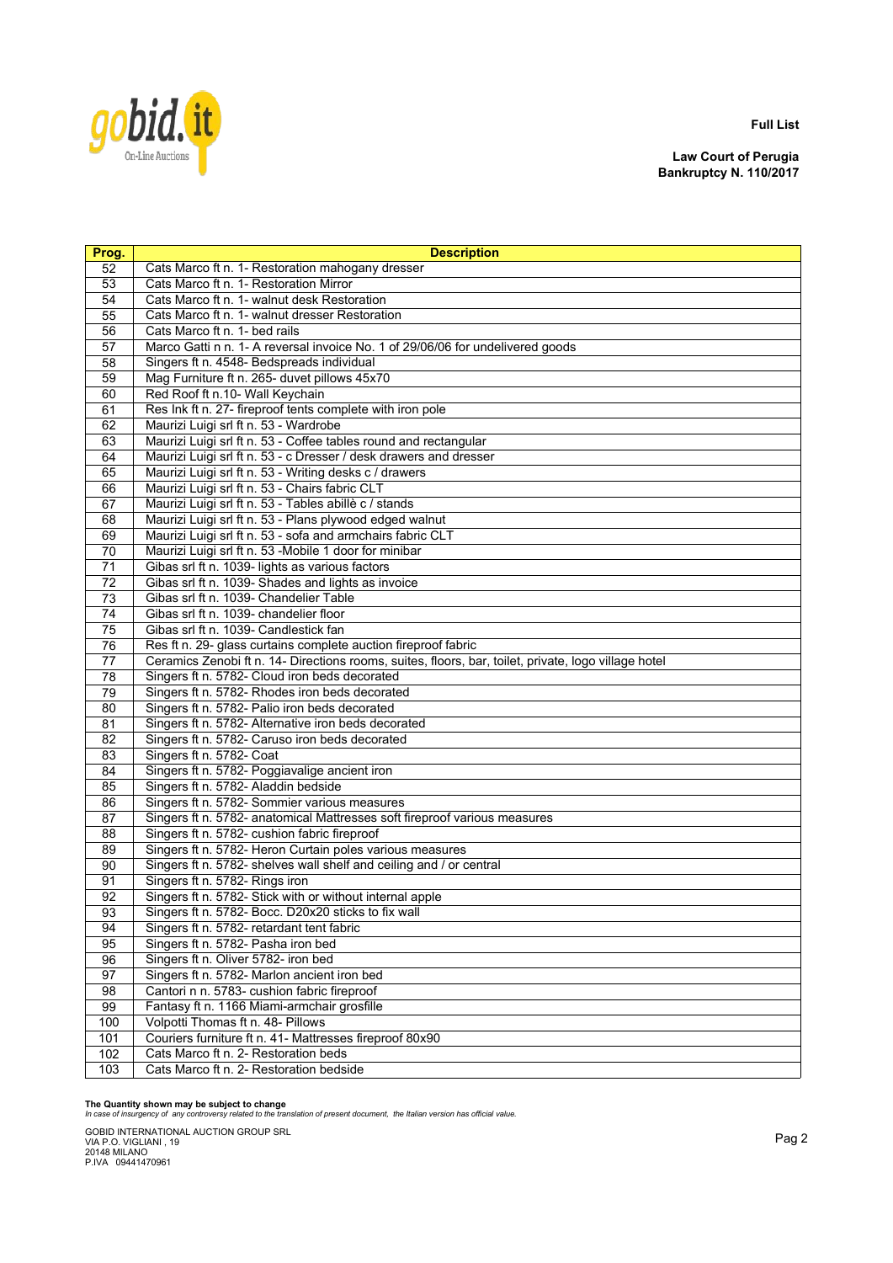

**Law Court of Perugia Bankruptcy N. 110/2017**

| Prog.           | <b>Description</b>                                                                                   |
|-----------------|------------------------------------------------------------------------------------------------------|
| 52              | Cats Marco ft n. 1- Restoration mahogany dresser                                                     |
| 53              | Cats Marco ft n. 1- Restoration Mirror                                                               |
| 54              | Cats Marco ft n. 1- walnut desk Restoration                                                          |
| 55              | Cats Marco ft n. 1- walnut dresser Restoration                                                       |
| 56              | Cats Marco ft n. 1- bed rails                                                                        |
| 57              | Marco Gatti n n. 1- A reversal invoice No. 1 of 29/06/06 for undelivered goods                       |
| 58              | Singers ft n. 4548- Bedspreads individual                                                            |
| 59              | Mag Furniture ft n. 265- duvet pillows 45x70                                                         |
| 60              | Red Roof ft n.10- Wall Keychain                                                                      |
| 61              | Res Ink ft n. 27- fireproof tents complete with iron pole                                            |
| 62              | Maurizi Luigi srl ft n. 53 - Wardrobe                                                                |
| 63              | Maurizi Luigi srl ft n. 53 - Coffee tables round and rectangular                                     |
| 64              | Maurizi Luigi srl ft n. 53 - c Dresser / desk drawers and dresser                                    |
| 65              | Maurizi Luigi srl ft n. 53 - Writing desks c / drawers                                               |
| 66              | Maurizi Luigi srl ft n. 53 - Chairs fabric CLT                                                       |
| 67              | Maurizi Luigi srl ft n. 53 - Tables abillè c / stands                                                |
| 68              | Maurizi Luigi srl ft n. 53 - Plans plywood edged walnut                                              |
| 69              | Maurizi Luigi srl ft n. 53 - sofa and armchairs fabric CLT                                           |
| 70              | Maurizi Luigi srl ft n. 53 -Mobile 1 door for minibar                                                |
| 71              | Gibas srl ft n. 1039- lights as various factors                                                      |
| 72              | Gibas srl ft n. 1039- Shades and lights as invoice                                                   |
| $\overline{73}$ | Gibas srl ft n. 1039- Chandelier Table                                                               |
| 74              | Gibas srl ft n. 1039- chandelier floor                                                               |
| 75              | Gibas srl ft n. 1039- Candlestick fan                                                                |
| 76              | Res ft n. 29- glass curtains complete auction fireproof fabric                                       |
| 77              | Ceramics Zenobi ft n. 14- Directions rooms, suites, floors, bar, toilet, private, logo village hotel |
| 78              | Singers ft n. 5782- Cloud iron beds decorated                                                        |
| 79              | Singers ft n. 5782- Rhodes iron beds decorated                                                       |
| 80              | Singers ft n. 5782- Palio iron beds decorated                                                        |
| 81              | Singers ft n. 5782- Alternative iron beds decorated                                                  |
| 82              | Singers ft n. 5782- Caruso iron beds decorated                                                       |
| 83              | Singers ft n. 5782- Coat                                                                             |
| 84              | Singers ft n. 5782- Poggiavalige ancient iron                                                        |
| 85              | Singers ft n. 5782- Aladdin bedside                                                                  |
| 86              | Singers ft n. 5782- Sommier various measures                                                         |
| 87              | Singers ft n. 5782- anatomical Mattresses soft fireproof various measures                            |
| 88              | Singers ft n. 5782- cushion fabric fireproof                                                         |
| 89              | Singers ft n. 5782- Heron Curtain poles various measures                                             |
| 90              | Singers ft n. 5782- shelves wall shelf and ceiling and / or central                                  |
| 91              | Singers ft n. 5782- Rings iron                                                                       |
| 92              | Singers ft n. 5782- Stick with or without internal apple                                             |
| 93              | Singers ft n. 5782- Bocc. D20x20 sticks to fix wall                                                  |
| 94              | Singers ft n. 5782- retardant tent fabric                                                            |
| 95              | Singers ft n. 5782- Pasha iron bed                                                                   |
| 96              | Singers ft n. Oliver 5782- iron bed                                                                  |
| 97              | Singers ft n. 5782- Marlon ancient iron bed                                                          |
| 98              | Cantori n n. 5783- cushion fabric fireproof                                                          |
| 99              | Fantasy ft n. 1166 Miami-armchair grosfille                                                          |
| 100             | Volpotti Thomas ft n. 48- Pillows                                                                    |
| 101             | Couriers furniture ft n. 41- Mattresses fireproof 80x90                                              |
| 102             | Cats Marco ft n. 2- Restoration beds                                                                 |
| 103             | Cats Marco ft n. 2- Restoration bedside                                                              |

**The Quantity shown may be subject to change** *In case of insurgency of any controversy related to the translation of present document, the Italian version has official value.*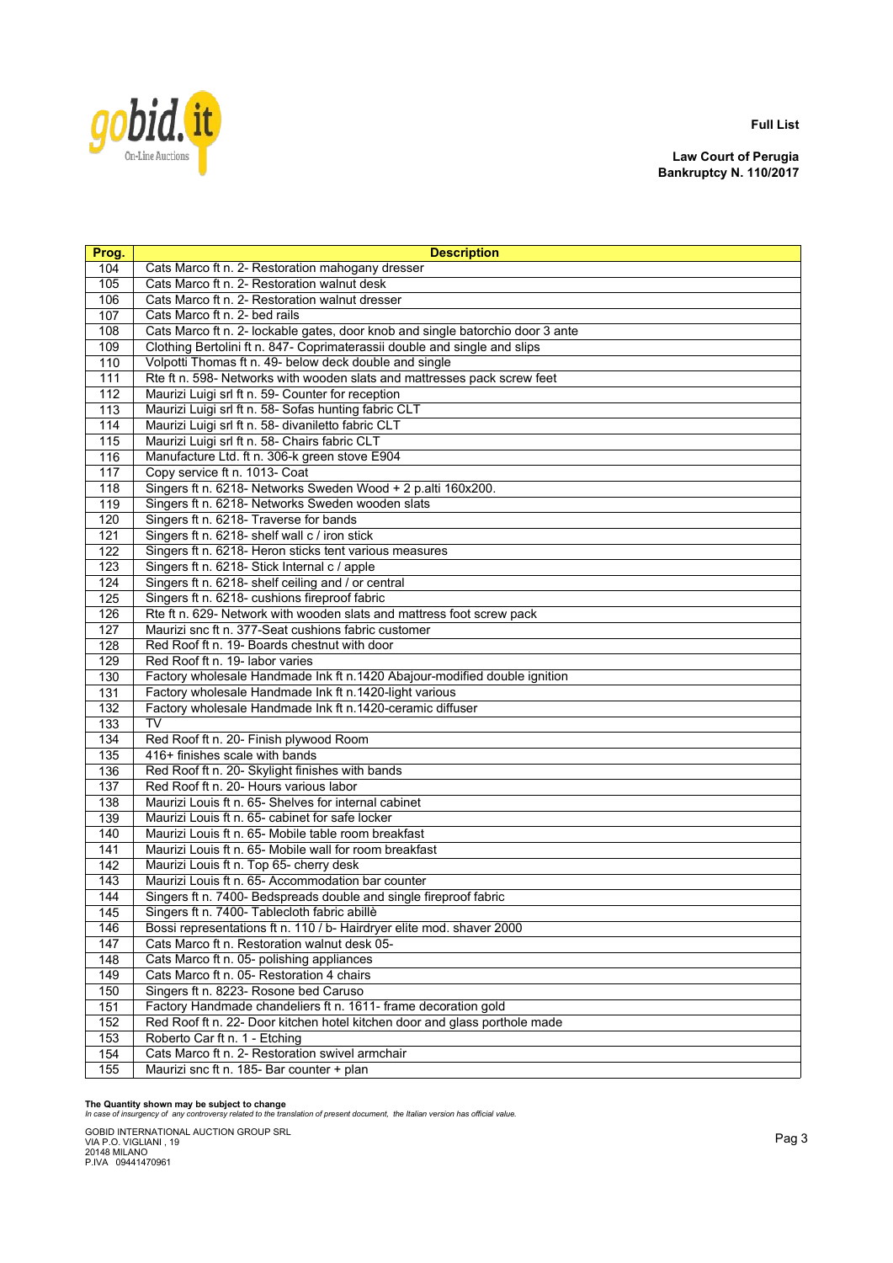

**Law Court of Perugia Bankruptcy N. 110/2017**

| Prog. | <b>Description</b>                                                             |
|-------|--------------------------------------------------------------------------------|
| 104   | Cats Marco ft n. 2- Restoration mahogany dresser                               |
| 105   | Cats Marco ft n. 2- Restoration walnut desk                                    |
| 106   | Cats Marco ft n. 2- Restoration walnut dresser                                 |
| 107   | Cats Marco ft n. 2- bed rails                                                  |
| 108   | Cats Marco ft n. 2- lockable gates, door knob and single batorchio door 3 ante |
| 109   | Clothing Bertolini ft n. 847- Coprimaterassii double and single and slips      |
| 110   | Volpotti Thomas ft n. 49- below deck double and single                         |
| 111   | Rte ft n. 598- Networks with wooden slats and mattresses pack screw feet       |
| 112   | Maurizi Luigi srl ft n. 59- Counter for reception                              |
| 113   | Maurizi Luigi srl ft n. 58- Sofas hunting fabric CLT                           |
| 114   | Maurizi Luigi srl ft n. 58- divaniletto fabric CLT                             |
| 115   | Maurizi Luigi srl ft n. 58- Chairs fabric CLT                                  |
| 116   | Manufacture Ltd. ft n. 306-k green stove E904                                  |
| 117   | Copy service ft n. 1013- Coat                                                  |
| 118   | Singers ft n. 6218- Networks Sweden Wood + 2 p.alti 160x200.                   |
| 119   | Singers ft n. 6218- Networks Sweden wooden slats                               |
| 120   | Singers ft n. 6218- Traverse for bands                                         |
| 121   | Singers ft n. 6218- shelf wall c / iron stick                                  |
| 122   | Singers ft n. 6218- Heron sticks tent various measures                         |
| 123   | Singers ft n. 6218- Stick Internal c / apple                                   |
| 124   | Singers ft n. 6218- shelf ceiling and / or central                             |
| 125   | Singers ft n. 6218- cushions fireproof fabric                                  |
| 126   | Rte ft n. 629- Network with wooden slats and mattress foot screw pack          |
| 127   | Maurizi snc ft n. 377-Seat cushions fabric customer                            |
| 128   | Red Roof ft n. 19- Boards chestnut with door                                   |
| 129   | Red Roof ft n. 19- labor varies                                                |
| 130   | Factory wholesale Handmade Ink ft n.1420 Abajour-modified double ignition      |
| 131   | Factory wholesale Handmade Ink ft n.1420-light various                         |
| 132   | Factory wholesale Handmade Ink ft n.1420-ceramic diffuser                      |
| 133   | <b>TV</b>                                                                      |
| 134   | Red Roof ft n. 20- Finish plywood Room                                         |
| 135   | 416+ finishes scale with bands                                                 |
| 136   | Red Roof ft n. 20- Skylight finishes with bands                                |
| 137   | Red Roof ft n. 20- Hours various labor                                         |
| 138   | Maurizi Louis ft n. 65- Shelves for internal cabinet                           |
| 139   | Maurizi Louis ft n. 65- cabinet for safe locker                                |
| 140   | Maurizi Louis ft n. 65- Mobile table room breakfast                            |
| 141   | Maurizi Louis ft n. 65- Mobile wall for room breakfast                         |
| 142   | Maurizi Louis ft n. Top 65- cherry desk                                        |
| 143   | Maurizi Louis ft n. 65- Accommodation bar counter                              |
| 144   | Singers ft n. 7400- Bedspreads double and single fireproof fabric              |
| 145   | Singers ft n. 7400- Tablecloth fabric abillè                                   |
| 146   | Bossi representations ft n. 110 / b- Hairdryer elite mod. shaver 2000          |
| 147   | Cats Marco ft n. Restoration walnut desk 05-                                   |
| 148   | Cats Marco ft n. 05- polishing appliances                                      |
| 149   | Cats Marco ft n. 05- Restoration 4 chairs                                      |
| 150   | Singers ft n. 8223- Rosone bed Caruso                                          |
| 151   | Factory Handmade chandeliers ft n. 1611- frame decoration gold                 |
| 152   | Red Roof ft n. 22- Door kitchen hotel kitchen door and glass porthole made     |
| 153   | Roberto Car ft n. 1 - Etching                                                  |
| 154   | Cats Marco ft n. 2- Restoration swivel armchair                                |
| 155   | Maurizi snc ft n. 185- Bar counter + plan                                      |

**The Quantity shown may be subject to change** *In case of insurgency of any controversy related to the translation of present document, the Italian version has official value.*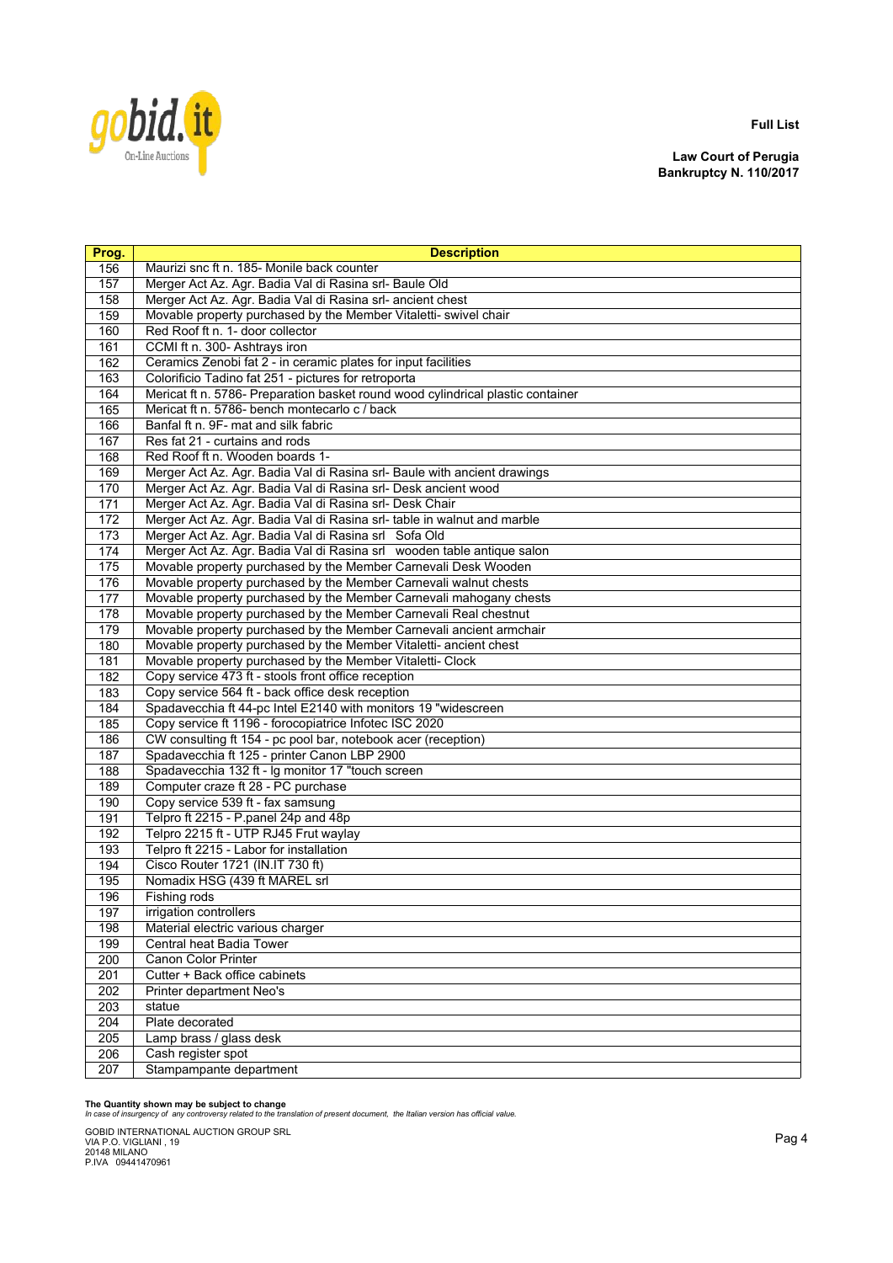

**Law Court of Perugia Bankruptcy N. 110/2017**

| Prog.      | <b>Description</b>                                                              |
|------------|---------------------------------------------------------------------------------|
| 156        | Maurizi snc ft n. 185- Monile back counter                                      |
| 157        | Merger Act Az. Agr. Badia Val di Rasina srl- Baule Old                          |
| 158        | Merger Act Az. Agr. Badia Val di Rasina srl- ancient chest                      |
| 159        | Movable property purchased by the Member Vitaletti- swivel chair                |
| 160        | Red Roof ft n. 1- door collector                                                |
| 161        | CCMI ft n. 300- Ashtrays iron                                                   |
| 162        | Ceramics Zenobi fat 2 - in ceramic plates for input facilities                  |
| 163        | Colorificio Tadino fat 251 - pictures for retroporta                            |
| 164        | Mericat ft n. 5786- Preparation basket round wood cylindrical plastic container |
| 165        | Mericat ft n. 5786- bench montecarlo c / back                                   |
| 166        | Banfal ft n. 9F- mat and silk fabric                                            |
| 167        | Res fat 21 - curtains and rods                                                  |
| 168        | Red Roof ft n. Wooden boards 1-                                                 |
| 169        | Merger Act Az. Agr. Badia Val di Rasina srl- Baule with ancient drawings        |
| 170        | Merger Act Az. Agr. Badia Val di Rasina srl- Desk ancient wood                  |
| 171        | Merger Act Az. Agr. Badia Val di Rasina srl- Desk Chair                         |
| 172        | Merger Act Az. Agr. Badia Val di Rasina srl- table in walnut and marble         |
| 173        | Merger Act Az. Agr. Badia Val di Rasina srl Sofa Old                            |
| 174        | Merger Act Az. Agr. Badia Val di Rasina srl wooden table antique salon          |
| 175        | Movable property purchased by the Member Carnevali Desk Wooden                  |
| 176        | Movable property purchased by the Member Carnevali walnut chests                |
| 177        | Movable property purchased by the Member Carnevali mahogany chests              |
| 178        | Movable property purchased by the Member Carnevali Real chestnut                |
| 179        | Movable property purchased by the Member Carnevali ancient armchair             |
| 180        | Movable property purchased by the Member Vitaletti- ancient chest               |
| 181        | Movable property purchased by the Member Vitaletti- Clock                       |
| 182        | Copy service 473 ft - stools front office reception                             |
| 183        | Copy service 564 ft - back office desk reception                                |
| 184        | Spadavecchia ft 44-pc Intel E2140 with monitors 19 "widescreen                  |
| 185        | Copy service ft 1196 - forocopiatrice Infotec ISC 2020                          |
| 186        | CW consulting ft 154 - pc pool bar, notebook acer (reception)                   |
| 187        | Spadavecchia ft 125 - printer Canon LBP 2900                                    |
| 188        | Spadavecchia 132 ft - Ig monitor 17 "touch screen                               |
| 189        | Computer craze ft 28 - PC purchase                                              |
| 190        | Copy service 539 ft - fax samsung                                               |
| 191        | Telpro ft 2215 - P.panel 24p and 48p                                            |
| 192        | Telpro 2215 ft - UTP RJ45 Frut waylay                                           |
| 193        | Telpro ft 2215 - Labor for installation<br>Cisco Router 1721 (IN.IT 730 ft)     |
| 194<br>195 | Nomadix HSG (439 ft MAREL srl                                                   |
| 196        | Fishing rods                                                                    |
| 197        | irrigation controllers                                                          |
| 198        | Material electric various charger                                               |
| 199        | Central heat Badia Tower                                                        |
| 200        | <b>Canon Color Printer</b>                                                      |
| 201        | Cutter + Back office cabinets                                                   |
| 202        | <b>Printer department Neo's</b>                                                 |
| 203        | statue                                                                          |
| 204        | Plate decorated                                                                 |
| 205        | Lamp brass / glass desk                                                         |
| 206        | Cash register spot                                                              |
| 207        | Stampampante department                                                         |

**The Quantity shown may be subject to change** *In case of insurgency of any controversy related to the translation of present document, the Italian version has official value.*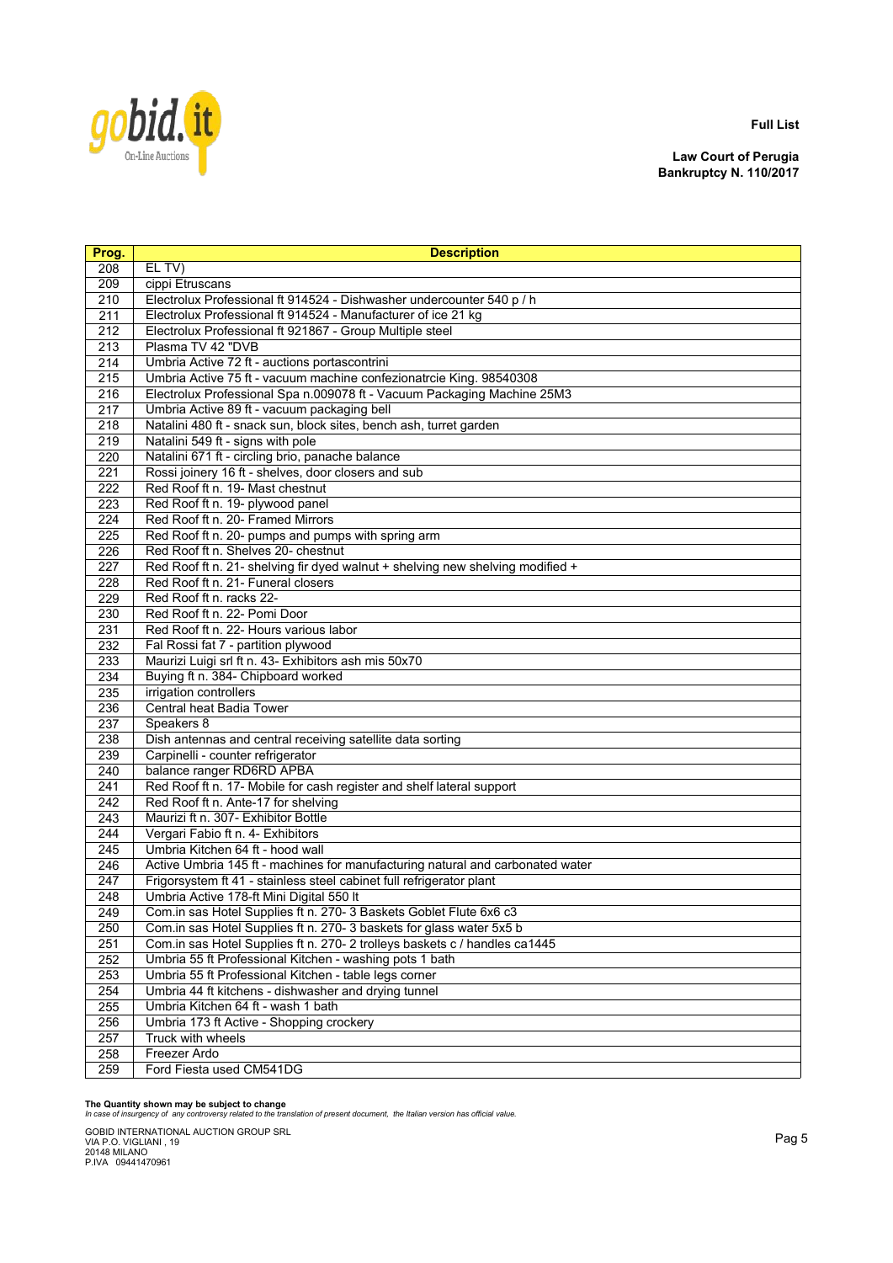

**Law Court of Perugia Bankruptcy N. 110/2017**

| Prog.            | <b>Description</b>                                                             |
|------------------|--------------------------------------------------------------------------------|
| 208              | EL TV)                                                                         |
| 209              | cippi Etruscans                                                                |
| 210              | Electrolux Professional ft 914524 - Dishwasher undercounter 540 p / h          |
| 211              | Electrolux Professional ft 914524 - Manufacturer of ice 21 kg                  |
| $\overline{212}$ | Electrolux Professional ft 921867 - Group Multiple steel                       |
| 213              | Plasma TV 42 "DVB                                                              |
| 214              | Umbria Active 72 ft - auctions portascontrini                                  |
| 215              | Umbria Active 75 ft - vacuum machine confezionatrcie King. 98540308            |
| 216              | Electrolux Professional Spa n.009078 ft - Vacuum Packaging Machine 25M3        |
| 217              | Umbria Active 89 ft - vacuum packaging bell                                    |
| 218              | Natalini 480 ft - snack sun, block sites, bench ash, turret garden             |
| 219              | Natalini 549 ft - signs with pole                                              |
| 220              | Natalini 671 ft - circling brio, panache balance                               |
| 221              | Rossi joinery 16 ft - shelves, door closers and sub                            |
| 222              | Red Roof ft n. 19- Mast chestnut                                               |
| 223              | Red Roof ft n. 19- plywood panel                                               |
| 224              | Red Roof ft n. 20- Framed Mirrors                                              |
| 225              | Red Roof ft n. 20- pumps and pumps with spring arm                             |
| 226              | Red Roof ft n. Shelves 20- chestnut                                            |
| 227              | Red Roof ft n. 21- shelving fir dyed walnut + shelving new shelving modified + |
| 228              | Red Roof ft n. 21- Funeral closers                                             |
| 229              | Red Roof ft n. racks 22-                                                       |
| 230              | Red Roof ft n. 22- Pomi Door                                                   |
| 231              | Red Roof ft n. 22- Hours various labor                                         |
| 232              | Fal Rossi fat 7 - partition plywood                                            |
| 233              | Maurizi Luigi srl ft n. 43- Exhibitors ash mis 50x70                           |
| 234              | Buying ft n. 384- Chipboard worked                                             |
| 235              | irrigation controllers                                                         |
| 236              | Central heat Badia Tower                                                       |
| 237              | Speakers 8                                                                     |
| 238              | Dish antennas and central receiving satellite data sorting                     |
| 239              | Carpinelli - counter refrigerator                                              |
| $\overline{240}$ | balance ranger RD6RD APBA                                                      |
| 241              | Red Roof ft n. 17- Mobile for cash register and shelf lateral support          |
| 242              | Red Roof ft n. Ante-17 for shelving                                            |
| 243              | Maurizi ft n. 307- Exhibitor Bottle                                            |
| 244              | Vergari Fabio ft n. 4- Exhibitors                                              |
| 245              | Umbria Kitchen 64 ft - hood wall                                               |
| 246              | Active Umbria 145 ft - machines for manufacturing natural and carbonated water |
| 247              | Frigorsystem ft 41 - stainless steel cabinet full refrigerator plant           |
| 248              | Umbria Active 178-ft Mini Digital 550 It                                       |
| 249              | Com.in sas Hotel Supplies ft n. 270- 3 Baskets Goblet Flute 6x6 c3             |
| 250              | Com.in sas Hotel Supplies ft n. 270- 3 baskets for glass water 5x5 b           |
| 251              | Com.in sas Hotel Supplies ft n. 270- 2 trolleys baskets c / handles ca1445     |
| 252              | Umbria 55 ft Professional Kitchen - washing pots 1 bath                        |
| 253              | Umbria 55 ft Professional Kitchen - table legs corner                          |
| 254              | Umbria 44 ft kitchens - dishwasher and drying tunnel                           |
| 255              | Umbria Kitchen 64 ft - wash 1 bath                                             |
| 256              | Umbria 173 ft Active - Shopping crockery                                       |
| 257              | Truck with wheels                                                              |
| 258              | Freezer Ardo                                                                   |
| 259              | Ford Fiesta used CM541DG                                                       |

### **The Quantity shown may be subject to change** *In case of insurgency of any controversy related to the translation of present document, the Italian version has official value.*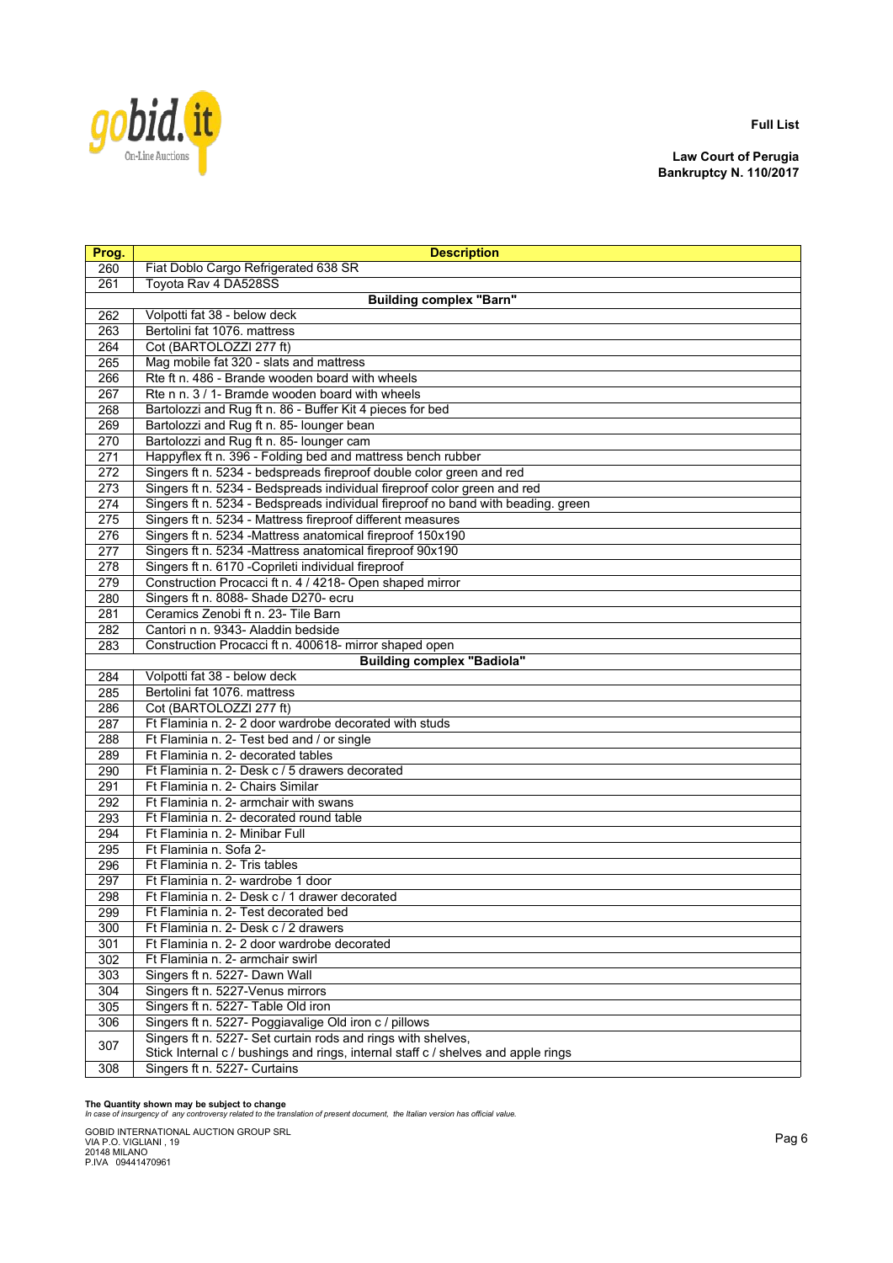

**Law Court of Perugia Bankruptcy N. 110/2017**

| Prog.      | <b>Description</b>                                                                 |
|------------|------------------------------------------------------------------------------------|
| 260        | Fiat Doblo Cargo Refrigerated 638 SR                                               |
| 261        | Toyota Rav 4 DA528SS                                                               |
|            | <b>Building complex "Barn"</b>                                                     |
| 262        | Volpotti fat 38 - below deck                                                       |
| 263        | Bertolini fat 1076. mattress                                                       |
| 264        | Cot (BARTOLOZZI 277 ft)                                                            |
| 265        | Mag mobile fat 320 - slats and mattress                                            |
| 266        | Rte ft n. 486 - Brande wooden board with wheels                                    |
| 267        | Rte n n. 3 / 1- Bramde wooden board with wheels                                    |
| 268        | Bartolozzi and Rug ft n. 86 - Buffer Kit 4 pieces for bed                          |
| 269        | Bartolozzi and Rug ft n. 85- lounger bean                                          |
| 270        | Bartolozzi and Rug ft n. 85- lounger cam                                           |
| 271        | Happyflex ft n. 396 - Folding bed and mattress bench rubber                        |
| 272        | Singers ft n. 5234 - bedspreads fireproof double color green and red               |
| 273        | Singers ft n. 5234 - Bedspreads individual fireproof color green and red           |
| 274        | Singers ft n. 5234 - Bedspreads individual fireproof no band with beading. green   |
| 275        | Singers ft n. 5234 - Mattress fireproof different measures                         |
| 276        | Singers ft n. 5234 -Mattress anatomical fireproof 150x190                          |
| 277        | Singers ft n. 5234 -Mattress anatomical fireproof 90x190                           |
| 278        | Singers ft n. 6170 - Coprileti individual fireproof                                |
| 279        | Construction Procacci ft n. 4 / 4218- Open shaped mirror                           |
| 280        | Singers ft n. 8088- Shade D270- ecru                                               |
| 281        | Ceramics Zenobi ft n. 23- Tile Barn                                                |
| 282        | Cantori n n. 9343- Aladdin bedside                                                 |
| 283        | Construction Procacci ft n. 400618- mirror shaped open                             |
|            | <b>Building complex "Badiola"</b>                                                  |
| 284        | Volpotti fat 38 - below deck                                                       |
| 285        | Bertolini fat 1076. mattress                                                       |
| 286        | Cot (BARTOLOZZI 277 ft)                                                            |
| 287        | Ft Flaminia n. 2- 2 door wardrobe decorated with studs                             |
| 288        | Ft Flaminia n. 2- Test bed and / or single<br>Ft Flaminia n. 2- decorated tables   |
| 289        |                                                                                    |
| 290<br>291 | Ft Flaminia n. 2- Desk c / 5 drawers decorated<br>Ft Flaminia n. 2- Chairs Similar |
| 292        | Ft Flaminia n. 2- armchair with swans                                              |
|            | Ft Flaminia n. 2- decorated round table                                            |
| 293<br>294 | Ft Flaminia n. 2- Minibar Full                                                     |
| 295        | Ft Flaminia n. Sofa 2-                                                             |
| 296        | Ft Flaminia n. 2- Tris tables                                                      |
| 297        | Ft Flaminia n. 2- wardrobe 1 door                                                  |
| 298        | Ft Flaminia n. 2- Desk c / 1 drawer decorated                                      |
| 299        | Ft Flaminia n. 2- Test decorated bed                                               |
| 300        | Ft Flaminia n. 2- Desk c / 2 drawers                                               |
| 301        | Ft Flaminia n. 2- 2 door wardrobe decorated                                        |
| 302        | Ft Flaminia n. 2- armchair swirl                                                   |
| 303        | Singers ft n. 5227- Dawn Wall                                                      |
| 304        | Singers ft n. 5227-Venus mirrors                                                   |
| 305        | Singers ft n. 5227- Table Old iron                                                 |
| 306        | Singers ft n. 5227- Poggiavalige Old iron c / pillows                              |
|            | Singers ft n. 5227- Set curtain rods and rings with shelves,                       |
| 307        | Stick Internal c / bushings and rings, internal staff c / shelves and apple rings  |
| 308        | Singers ft n. 5227- Curtains                                                       |
|            |                                                                                    |

**The Quantity shown may be subject to change** *In case of insurgency of any controversy related to the translation of present document, the Italian version has official value.*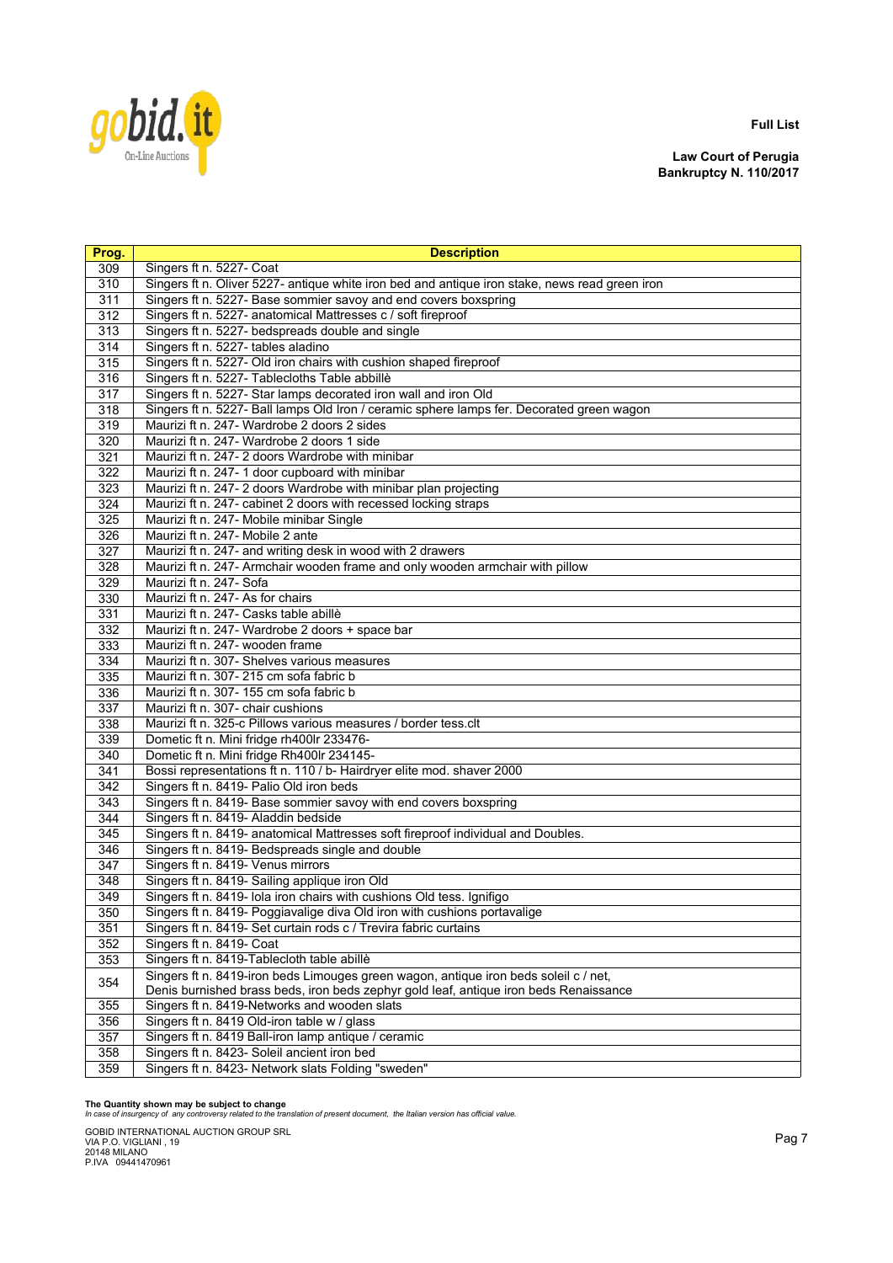

**Law Court of Perugia Bankruptcy N. 110/2017**

| Prog.      | <b>Description</b>                                                                                                      |
|------------|-------------------------------------------------------------------------------------------------------------------------|
| 309        | Singers ft n. 5227- Coat                                                                                                |
| 310        | Singers ft n. Oliver 5227- antique white iron bed and antique iron stake, news read green iron                          |
| 311        | Singers ft n. 5227- Base sommier savoy and end covers boxspring                                                         |
| 312        | Singers ft n. 5227- anatomical Mattresses c / soft fireproof                                                            |
| 313        | Singers ft n. 5227- bedspreads double and single                                                                        |
| 314        | Singers ft n. 5227- tables aladino                                                                                      |
| 315        | Singers ft n. 5227- Old iron chairs with cushion shaped fireproof                                                       |
| 316        | Singers ft n. 5227- Tablecloths Table abbillè                                                                           |
| 317        | Singers ft n. 5227- Star lamps decorated iron wall and iron Old                                                         |
| 318        | Singers ft n. 5227- Ball lamps Old Iron / ceramic sphere lamps fer. Decorated green wagon                               |
| 319        | Maurizi ft n. 247- Wardrobe 2 doors 2 sides                                                                             |
| 320        | Maurizi ft n. 247- Wardrobe 2 doors 1 side                                                                              |
| 321        | Maurizi ft n. 247- 2 doors Wardrobe with minibar                                                                        |
| 322        | Maurizi ft n. 247- 1 door cupboard with minibar                                                                         |
| 323        | Maurizi ft n. 247-2 doors Wardrobe with minibar plan projecting                                                         |
| 324        | Maurizi ft n. 247- cabinet 2 doors with recessed locking straps                                                         |
| 325        | Maurizi ft n. 247- Mobile minibar Single                                                                                |
| 326        | Maurizi ft n. 247- Mobile 2 ante                                                                                        |
| 327        | Maurizi ft n. 247- and writing desk in wood with 2 drawers                                                              |
| 328        | Maurizi ft n. 247- Armchair wooden frame and only wooden armchair with pillow                                           |
| 329        | Maurizi ft n. 247- Sofa                                                                                                 |
| 330        | Maurizi ft n. 247- As for chairs                                                                                        |
| 331        | Maurizi ft n. 247- Casks table abillè                                                                                   |
| 332        | Maurizi ft n. 247- Wardrobe 2 doors + space bar                                                                         |
| 333        | Maurizi ft n. 247- wooden frame                                                                                         |
| 334        | Maurizi ft n. 307- Shelves various measures                                                                             |
| 335        | Maurizi ft n. 307-215 cm sofa fabric b                                                                                  |
| 336        | Maurizi ft n. 307-155 cm sofa fabric b                                                                                  |
| 337        | Maurizi ft n. 307- chair cushions                                                                                       |
| 338        | Maurizi ft n. 325-c Pillows various measures / border tess.clt                                                          |
| 339        | Dometic ft n. Mini fridge rh400lr 233476-                                                                               |
| 340        | Dometic ft n. Mini fridge Rh400lr 234145-                                                                               |
| 341        | Bossi representations ft n. 110 / b- Hairdryer elite mod. shaver 2000                                                   |
| 342        | Singers ft n. 8419- Palio Old iron beds                                                                                 |
| 343        | Singers ft n. 8419- Base sommier savoy with end covers boxspring                                                        |
| 344<br>345 | Singers ft n. 8419- Aladdin bedside<br>Singers ft n. 8419- anatomical Mattresses soft fireproof individual and Doubles. |
| 346        | Singers ft n. 8419- Bedspreads single and double                                                                        |
| 347        | Singers ft n. 8419- Venus mirrors                                                                                       |
| 348        | Singers ft n. 8419- Sailing applique iron Old                                                                           |
| 349        | Singers ft n. 8419- Iola iron chairs with cushions Old tess. Ignifigo                                                   |
| 350        | Singers ft n. 8419- Poggiavalige diva Old iron with cushions portavalige                                                |
| 351        | Singers ft n. 8419- Set curtain rods c / Trevira fabric curtains                                                        |
| 352        | Singers ft n. 8419- Coat                                                                                                |
| 353        | Singers ft n. 8419-Tablecloth table abillè                                                                              |
|            | Singers ft n. 8419-iron beds Limouges green wagon, antique iron beds soleil c / net,                                    |
| 354        | Denis burnished brass beds, iron beds zephyr gold leaf, antique iron beds Renaissance                                   |
| 355        | Singers ft n. 8419-Networks and wooden slats                                                                            |
| 356        | Singers ft n. 8419 Old-iron table w / glass                                                                             |
| 357        | Singers ft n. 8419 Ball-iron lamp antique / ceramic                                                                     |
| 358        | Singers ft n. 8423- Soleil ancient iron bed                                                                             |
| 359        | Singers ft n. 8423- Network slats Folding "sweden"                                                                      |

**The Quantity shown may be subject to change** *In case of insurgency of any controversy related to the translation of present document, the Italian version has official value.*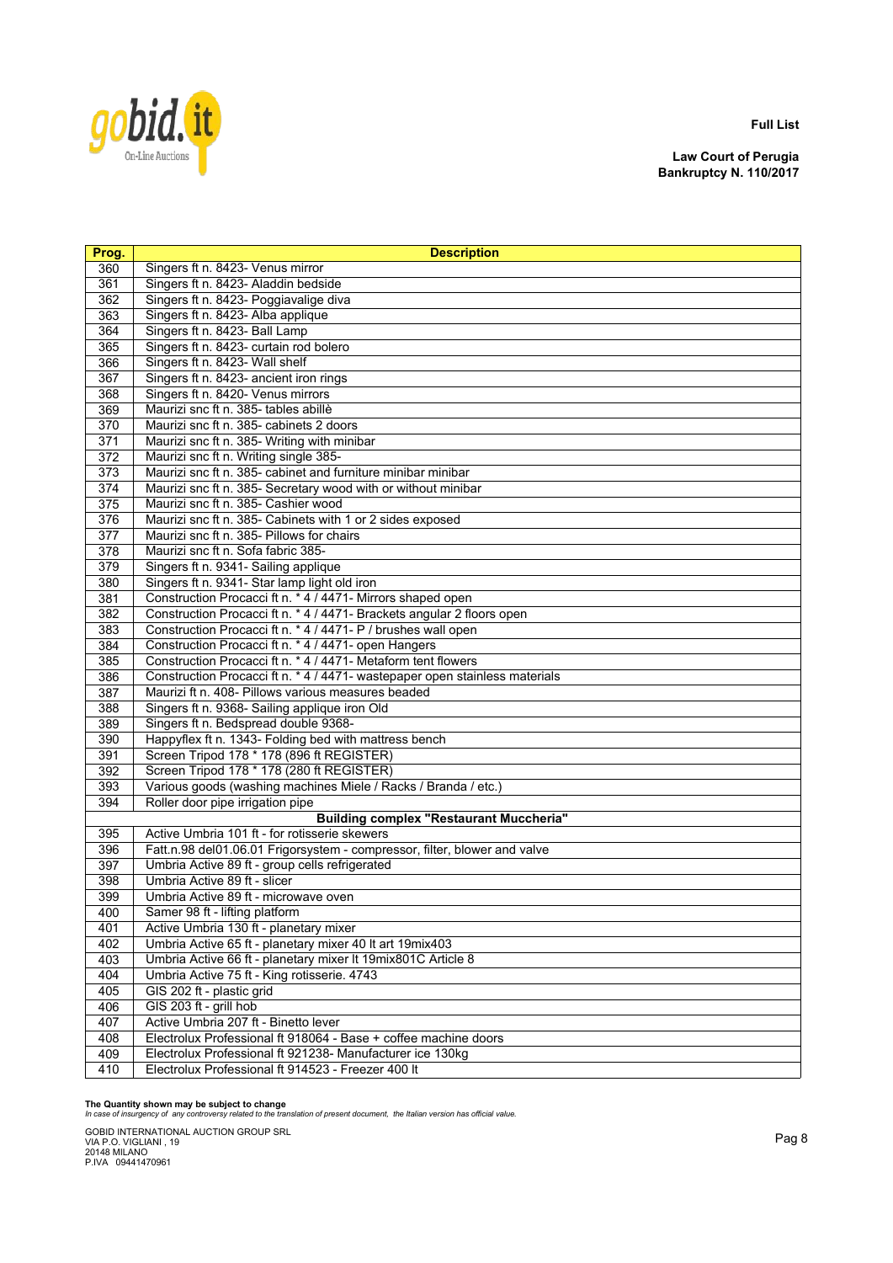

**Law Court of Perugia Bankruptcy N. 110/2017**

| Prog.      | <b>Description</b>                                                                              |
|------------|-------------------------------------------------------------------------------------------------|
| 360        | Singers ft n. 8423- Venus mirror                                                                |
| 361        | Singers ft n. 8423- Aladdin bedside                                                             |
| 362        | Singers ft n. 8423- Poggiavalige diva                                                           |
| 363        | Singers ft n. 8423- Alba applique                                                               |
| 364        | Singers ft n. 8423- Ball Lamp                                                                   |
| 365        | Singers ft n. 8423- curtain rod bolero                                                          |
| 366        | Singers ft n. 8423- Wall shelf                                                                  |
| 367        | Singers ft n. 8423- ancient iron rings                                                          |
| 368        | Singers ft n. 8420- Venus mirrors                                                               |
| 369        | Maurizi snc ft n. 385- tables abillè                                                            |
| 370        | Maurizi snc ft n. 385- cabinets 2 doors                                                         |
| 371        | Maurizi snc ft n. 385- Writing with minibar                                                     |
| 372        | Maurizi snc ft n. Writing single 385-                                                           |
| 373        | Maurizi snc ft n. 385- cabinet and furniture minibar minibar                                    |
| 374        | Maurizi snc ft n. 385- Secretary wood with or without minibar                                   |
| 375        | Maurizi snc ft n. 385- Cashier wood                                                             |
| 376        | Maurizi snc ft n. 385- Cabinets with 1 or 2 sides exposed                                       |
| 377        | Maurizi snc ft n. 385- Pillows for chairs                                                       |
| 378        | Maurizi snc ft n. Sofa fabric 385-                                                              |
| 379        | Singers ft n. 9341- Sailing applique                                                            |
| 380        | Singers ft n. 9341- Star lamp light old iron                                                    |
| 381        | Construction Procacci ft n. * 4 / 4471- Mirrors shaped open                                     |
| 382        | Construction Procacci ft n. * 4 / 4471- Brackets angular 2 floors open                          |
| 383        | Construction Procacci ft n. * 4 / 4471- P / brushes wall open                                   |
| 384        | Construction Procacci ft n. * 4 / 4471- open Hangers                                            |
| 385        | Construction Procacci ft n. * 4 / 4471- Metaform tent flowers                                   |
| 386        | Construction Procacci ft n. * 4 / 4471- wastepaper open stainless materials                     |
| 387        | Maurizi ft n. 408- Pillows various measures beaded                                              |
| 388        | Singers ft n. 9368- Sailing applique iron Old                                                   |
| 389        | Singers ft n. Bedspread double 9368-                                                            |
| 390        | Happyflex ft n. 1343- Folding bed with mattress bench                                           |
| 391        | Screen Tripod 178 * 178 (896 ft REGISTER)                                                       |
| 392        | Screen Tripod 178 * 178 (280 ft REGISTER)                                                       |
| 393        | Various goods (washing machines Miele / Racks / Branda / etc.)                                  |
| 394        | Roller door pipe irrigation pipe                                                                |
|            | <b>Building complex "Restaurant Muccheria"</b><br>Active Umbria 101 ft - for rotisserie skewers |
| 395        | Fatt.n.98 del01.06.01 Frigorsystem - compressor, filter, blower and valve                       |
| 396<br>397 | Umbria Active 89 ft - group cells refrigerated                                                  |
| 398        | Umbria Active 89 ft - slicer                                                                    |
| 399        | Umbria Active 89 ft - microwave oven                                                            |
| 400        | Samer 98 ft - lifting platform                                                                  |
| 401        | Active Umbria 130 ft - planetary mixer                                                          |
| 402        | Umbria Active 65 ft - planetary mixer 40 lt art 19mix403                                        |
| 403        | Umbria Active 66 ft - planetary mixer It 19mix801C Article 8                                    |
| 404        | Umbria Active 75 ft - King rotisserie. 4743                                                     |
| 405        | GIS 202 ft - plastic grid                                                                       |
| 406        | GIS 203 ft - grill hob                                                                          |
| 407        | Active Umbria 207 ft - Binetto lever                                                            |
| 408        | Electrolux Professional ft 918064 - Base + coffee machine doors                                 |
| 409        | Electrolux Professional ft 921238- Manufacturer ice 130kg                                       |
| 410        | Electrolux Professional ft 914523 - Freezer 400 lt                                              |

**The Quantity shown may be subject to change** *In case of insurgency of any controversy related to the translation of present document, the Italian version has official value.*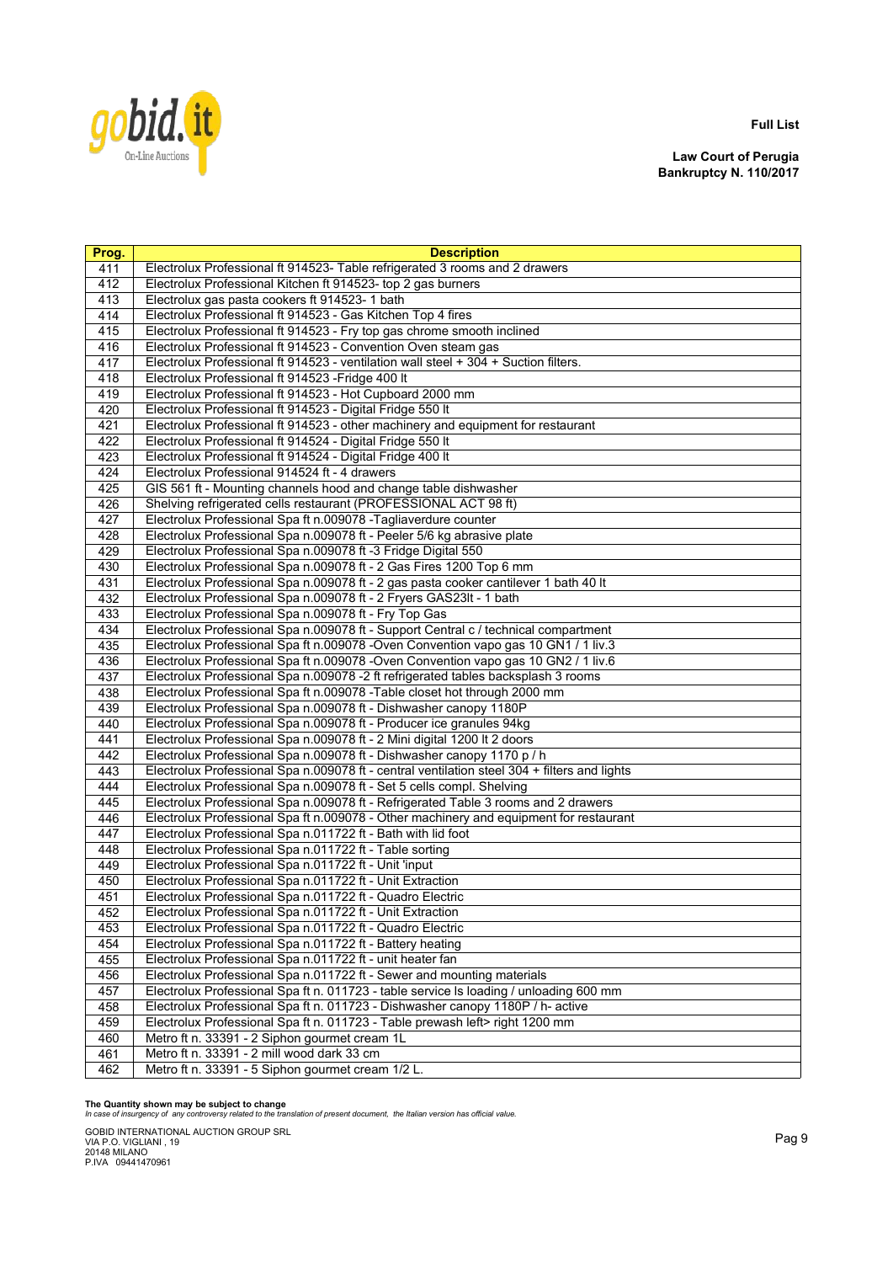

**Law Court of Perugia Bankruptcy N. 110/2017**

| Prog. | <b>Description</b>                                                                           |
|-------|----------------------------------------------------------------------------------------------|
| 411   | Electrolux Professional ft 914523- Table refrigerated 3 rooms and 2 drawers                  |
| 412   | Electrolux Professional Kitchen ft 914523- top 2 gas burners                                 |
| 413   | Electrolux gas pasta cookers ft 914523-1 bath                                                |
| 414   | Electrolux Professional ft 914523 - Gas Kitchen Top 4 fires                                  |
| 415   | Electrolux Professional ft 914523 - Fry top gas chrome smooth inclined                       |
| 416   | Electrolux Professional ft 914523 - Convention Oven steam gas                                |
| 417   | Electrolux Professional ft 914523 - ventilation wall steel + 304 + Suction filters.          |
| 418   | Electrolux Professional ft 914523 - Fridge 400 It                                            |
| 419   | Electrolux Professional ft 914523 - Hot Cupboard 2000 mm                                     |
| 420   | Electrolux Professional ft 914523 - Digital Fridge 550 It                                    |
| 421   | Electrolux Professional ft 914523 - other machinery and equipment for restaurant             |
| 422   | Electrolux Professional ft 914524 - Digital Fridge 550 It                                    |
| 423   | Electrolux Professional ft 914524 - Digital Fridge 400 It                                    |
| 424   | Electrolux Professional 914524 ft - 4 drawers                                                |
| 425   | GIS 561 ft - Mounting channels hood and change table dishwasher                              |
| 426   | Shelving refrigerated cells restaurant (PROFESSIONAL ACT 98 ft)                              |
| 427   | Electrolux Professional Spa ft n.009078 - Tagliaverdure counter                              |
| 428   | Electrolux Professional Spa n.009078 ft - Peeler 5/6 kg abrasive plate                       |
| 429   | Electrolux Professional Spa n.009078 ft -3 Fridge Digital 550                                |
| 430   | Electrolux Professional Spa n.009078 ft - 2 Gas Fires 1200 Top 6 mm                          |
| 431   | Electrolux Professional Spa n.009078 ft - 2 gas pasta cooker cantilever 1 bath 40 lt         |
| 432   | Electrolux Professional Spa n.009078 ft - 2 Fryers GAS23It - 1 bath                          |
| 433   | Electrolux Professional Spa n.009078 ft - Fry Top Gas                                        |
| 434   | Electrolux Professional Spa n.009078 ft - Support Central c / technical compartment          |
| 435   | Electrolux Professional Spa ft n.009078 -Oven Convention vapo gas 10 GN1 / 1 liv.3           |
| 436   | Electrolux Professional Spa ft n.009078 -Oven Convention vapo gas 10 GN2 / 1 liv.6           |
| 437   | Electrolux Professional Spa n.009078 -2 ft refrigerated tables backsplash 3 rooms            |
| 438   | Electrolux Professional Spa ft n.009078 - Table closet hot through 2000 mm                   |
| 439   | Electrolux Professional Spa n.009078 ft - Dishwasher canopy 1180P                            |
| 440   | Electrolux Professional Spa n.009078 ft - Producer ice granules 94kg                         |
| 441   | Electrolux Professional Spa n.009078 ft - 2 Mini digital 1200 lt 2 doors                     |
| 442   | Electrolux Professional Spa n.009078 ft - Dishwasher canopy 1170 p / h                       |
| 443   | Electrolux Professional Spa n.009078 ft - central ventilation steel 304 + filters and lights |
| 444   | Electrolux Professional Spa n.009078 ft - Set 5 cells compl. Shelving                        |
| 445   | Electrolux Professional Spa n.009078 ft - Refrigerated Table 3 rooms and 2 drawers           |
| 446   | Electrolux Professional Spa ft n.009078 - Other machinery and equipment for restaurant       |
| 447   | Electrolux Professional Spa n.011722 ft - Bath with lid foot                                 |
| 448   | Electrolux Professional Spa n.011722 ft - Table sorting                                      |
| 449   | Electrolux Professional Spa n.011722 ft - Unit 'input                                        |
| 450   | Electrolux Professional Spa n.011722 ft - Unit Extraction                                    |
| 451   | Electrolux Professional Spa n.011722 ft - Quadro Electric                                    |
| 452   | Electrolux Professional Spa n.011722 ft - Unit Extraction                                    |
| 453   | Electrolux Professional Spa n.011722 ft - Quadro Electric                                    |
| 454   | Electrolux Professional Spa n.011722 ft - Battery heating                                    |
| 455   | Electrolux Professional Spa n.011722 ft - unit heater fan                                    |
| 456   | Electrolux Professional Spa n.011722 ft - Sewer and mounting materials                       |
| 457   | Electrolux Professional Spa ft n. 011723 - table service Is loading / unloading 600 mm       |
| 458   | Electrolux Professional Spa ft n. 011723 - Dishwasher canopy 1180P / h- active               |
| 459   | Electrolux Professional Spa ft n. 011723 - Table prewash left> right 1200 mm                 |
| 460   | Metro ft n. 33391 - 2 Siphon gourmet cream 1L                                                |
| 461   | Metro ft n. 33391 - 2 mill wood dark 33 cm                                                   |
| 462   | Metro ft n. 33391 - 5 Siphon gourmet cream 1/2 L.                                            |

**The Quantity shown may be subject to change** *In case of insurgency of any controversy related to the translation of present document, the Italian version has official value.*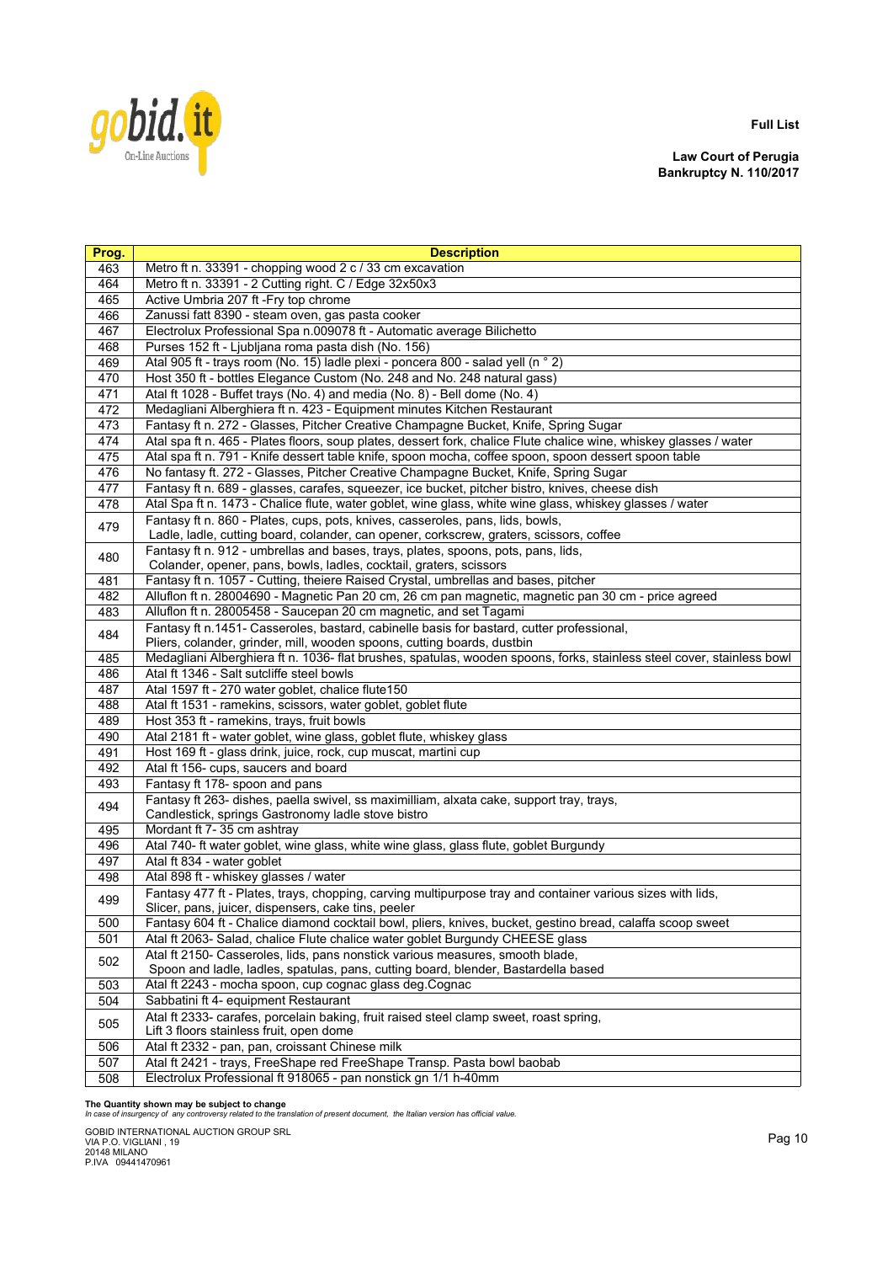

**Law Court of Perugia Bankruptcy N. 110/2017**

| Prog. | <b>Description</b>                                                                                                                                                |
|-------|-------------------------------------------------------------------------------------------------------------------------------------------------------------------|
| 463   | Metro ft n. 33391 - chopping wood 2 c / 33 cm excavation                                                                                                          |
| 464   | Metro ft n. 33391 - 2 Cutting right. C / Edge 32x50x3                                                                                                             |
| 465   | Active Umbria 207 ft - Fry top chrome                                                                                                                             |
| 466   | Zanussi fatt 8390 - steam oven, gas pasta cooker                                                                                                                  |
| 467   | Electrolux Professional Spa n.009078 ft - Automatic average Bilichetto                                                                                            |
| 468   | Purses 152 ft - Ljubljana roma pasta dish (No. 156)                                                                                                               |
| 469   | Atal 905 ft - trays room (No. 15) ladle plexi - poncera 800 - salad yell (n ° 2)                                                                                  |
| 470   | Host 350 ft - bottles Elegance Custom (No. 248 and No. 248 natural gass)                                                                                          |
| 471   | Atal ft 1028 - Buffet trays (No. 4) and media (No. 8) - Bell dome (No. 4)                                                                                         |
| 472   | Medagliani Alberghiera ft n. 423 - Equipment minutes Kitchen Restaurant                                                                                           |
| 473   | Fantasy ft n. 272 - Glasses, Pitcher Creative Champagne Bucket, Knife, Spring Sugar                                                                               |
| 474   | Atal spa ft n. 465 - Plates floors, soup plates, dessert fork, chalice Flute chalice wine, whiskey glasses / water                                                |
| 475   | Atal spa ft n. 791 - Knife dessert table knife, spoon mocha, coffee spoon, spoon dessert spoon table                                                              |
| 476   | No fantasy ft. 272 - Glasses, Pitcher Creative Champagne Bucket, Knife, Spring Sugar                                                                              |
| 477   | Fantasy ft n. 689 - glasses, carafes, squeezer, ice bucket, pitcher bistro, knives, cheese dish                                                                   |
| 478   | Atal Spa ft n. 1473 - Chalice flute, water goblet, wine glass, white wine glass, whiskey glasses / water                                                          |
|       | Fantasy ft n. 860 - Plates, cups, pots, knives, casseroles, pans, lids, bowls,                                                                                    |
| 479   | Ladle, ladle, cutting board, colander, can opener, corkscrew, graters, scissors, coffee                                                                           |
|       | Fantasy ft n. 912 - umbrellas and bases, trays, plates, spoons, pots, pans, lids,                                                                                 |
| 480   | Colander, opener, pans, bowls, ladles, cocktail, graters, scissors                                                                                                |
| 481   | Fantasy ft n. 1057 - Cutting, theiere Raised Crystal, umbrellas and bases, pitcher                                                                                |
| 482   | Alluflon ft n. 28004690 - Magnetic Pan 20 cm, 26 cm pan magnetic, magnetic pan 30 cm - price agreed                                                               |
| 483   | Alluflon ft n. 28005458 - Saucepan 20 cm magnetic, and set Tagami                                                                                                 |
| 484   | Fantasy ft n.1451- Casseroles, bastard, cabinelle basis for bastard, cutter professional,                                                                         |
|       | Pliers, colander, grinder, mill, wooden spoons, cutting boards, dustbin                                                                                           |
| 485   | Medagliani Alberghiera ft n. 1036- flat brushes, spatulas, wooden spoons, forks, stainless steel cover, stainless bowl                                            |
| 486   | Atal ft 1346 - Salt sutcliffe steel bowls                                                                                                                         |
| 487   | Atal 1597 ft - 270 water goblet, chalice flute150                                                                                                                 |
| 488   | Atal ft 1531 - ramekins, scissors, water goblet, goblet flute                                                                                                     |
| 489   | Host 353 ft - ramekins, trays, fruit bowls                                                                                                                        |
| 490   | Atal 2181 ft - water goblet, wine glass, goblet flute, whiskey glass                                                                                              |
| 491   | Host 169 ft - glass drink, juice, rock, cup muscat, martini cup                                                                                                   |
| 492   | Atal ft 156- cups, saucers and board                                                                                                                              |
| 493   | Fantasy ft 178- spoon and pans                                                                                                                                    |
| 494   | Fantasy ft 263- dishes, paella swivel, ss maximilliam, alxata cake, support tray, trays,                                                                          |
|       | Candlestick, springs Gastronomy ladle stove bistro                                                                                                                |
| 495   | Mordant ft 7-35 cm ashtray                                                                                                                                        |
| 496   | Atal 740- ft water goblet, wine glass, white wine glass, glass flute, goblet Burgundy                                                                             |
| 497   | Atal ft 834 - water goblet                                                                                                                                        |
| 498   | Atal 898 ft - whiskey glasses / water                                                                                                                             |
| 499   | Fantasy 477 ft - Plates, trays, chopping, carving multipurpose tray and container various sizes with lids,<br>Slicer, pans, juicer, dispensers, cake tins, peeler |
| 500   | Fantasy 604 ft - Chalice diamond cocktail bowl, pliers, knives, bucket, gestino bread, calaffa scoop sweet                                                        |
| 501   | Atal ft 2063- Salad, chalice Flute chalice water goblet Burgundy CHEESE glass                                                                                     |
|       | Atal ft 2150- Casseroles, lids, pans nonstick various measures, smooth blade,                                                                                     |
| 502   | Spoon and ladle, ladles, spatulas, pans, cutting board, blender, Bastardella based                                                                                |
| 503   | Atal ft 2243 - mocha spoon, cup cognac glass deg.Cognac                                                                                                           |
| 504   | Sabbatini ft 4- equipment Restaurant                                                                                                                              |
|       | Atal ft 2333- carafes, porcelain baking, fruit raised steel clamp sweet, roast spring,                                                                            |
| 505   | Lift 3 floors stainless fruit, open dome                                                                                                                          |
| 506   | Atal ft 2332 - pan, pan, croissant Chinese milk                                                                                                                   |
| 507   | Atal ft 2421 - trays, FreeShape red FreeShape Transp. Pasta bowl baobab                                                                                           |
| 508   | Electrolux Professional ft 918065 - pan nonstick gn 1/1 h-40mm                                                                                                    |

**The Quantity shown may be subject to change** *In case of insurgency of any controversy related to the translation of present document, the Italian version has official value.*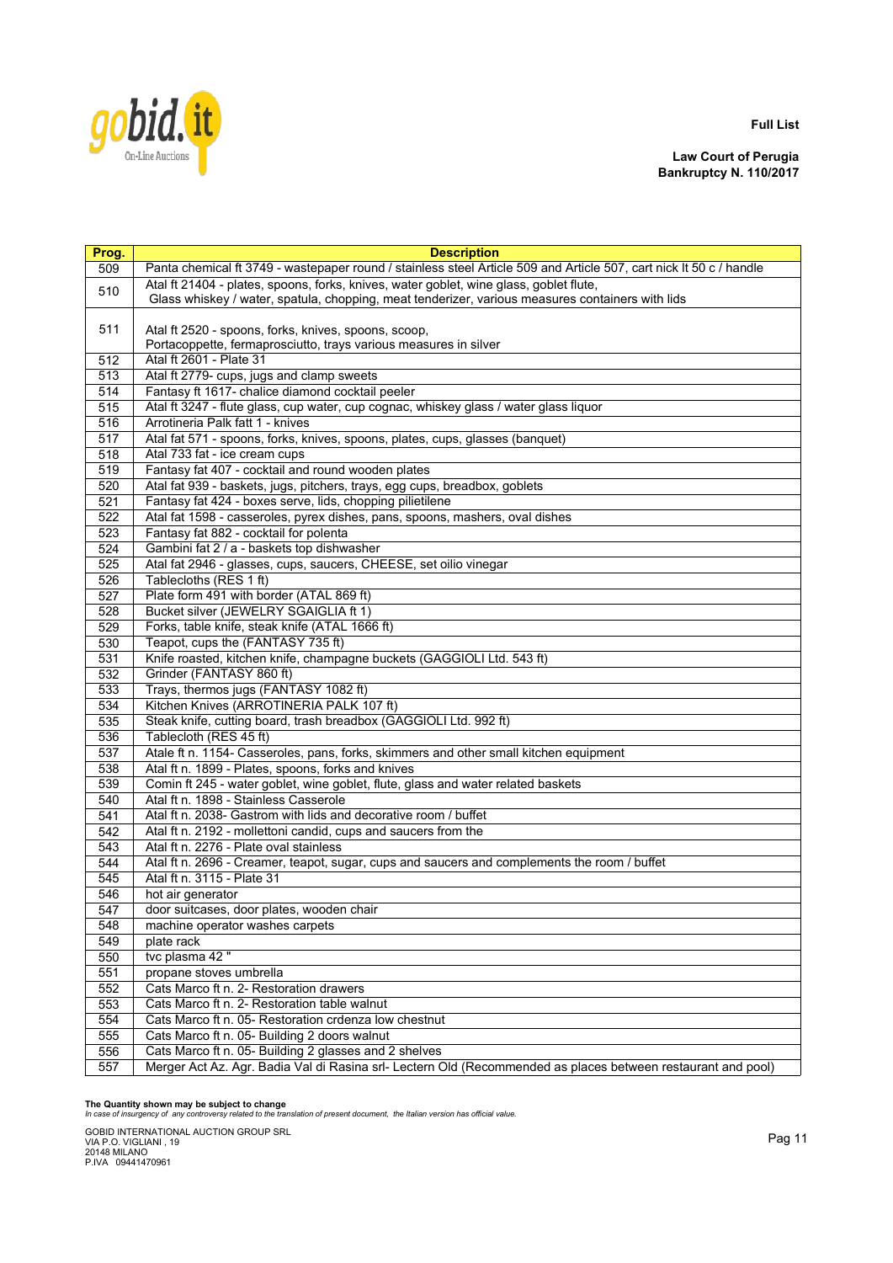

**Law Court of Perugia Bankruptcy N. 110/2017**

| Prog.      | <b>Description</b>                                                                                                  |
|------------|---------------------------------------------------------------------------------------------------------------------|
| 509        | Panta chemical ft 3749 - wastepaper round / stainless steel Article 509 and Article 507, cart nick It 50 c / handle |
| 510        | Atal ft 21404 - plates, spoons, forks, knives, water goblet, wine glass, goblet flute,                              |
|            | Glass whiskey / water, spatula, chopping, meat tenderizer, various measures containers with lids                    |
|            |                                                                                                                     |
| 511        | Atal ft 2520 - spoons, forks, knives, spoons, scoop,                                                                |
|            | Portacoppette, fermaprosciutto, trays various measures in silver                                                    |
| 512        | Atal ft 2601 - Plate 31                                                                                             |
| 513        | Atal ft 2779- cups, jugs and clamp sweets                                                                           |
| 514        | Fantasy ft 1617- chalice diamond cocktail peeler                                                                    |
| 515        | Atal ft 3247 - flute glass, cup water, cup cognac, whiskey glass / water glass liquor                               |
| 516        | Arrotineria Palk fatt 1 - knives                                                                                    |
| 517        | Atal fat 571 - spoons, forks, knives, spoons, plates, cups, glasses (banquet)                                       |
| 518        | Atal 733 fat - ice cream cups                                                                                       |
| 519        | Fantasy fat 407 - cocktail and round wooden plates                                                                  |
| 520        | Atal fat 939 - baskets, jugs, pitchers, trays, egg cups, breadbox, goblets                                          |
| 521        | Fantasy fat 424 - boxes serve, lids, chopping pilietilene                                                           |
| 522        | Atal fat 1598 - casseroles, pyrex dishes, pans, spoons, mashers, oval dishes                                        |
| 523        | Fantasy fat 882 - cocktail for polenta                                                                              |
| 524        | Gambini fat 2 / a - baskets top dishwasher                                                                          |
| 525        | Atal fat 2946 - glasses, cups, saucers, CHEESE, set oilio vinegar                                                   |
| 526        | Tablecloths (RES 1 ft)                                                                                              |
| 527        | Plate form 491 with border (ATAL 869 ft)                                                                            |
| 528        | Bucket silver (JEWELRY SGAIGLIA ft 1)                                                                               |
| 529        | Forks, table knife, steak knife (ATAL 1666 ft)                                                                      |
| 530        | Teapot, cups the (FANTASY 735 ft)                                                                                   |
| 531        | Knife roasted, kitchen knife, champagne buckets (GAGGIOLI Ltd. 543 ft)                                              |
| 532        | Grinder (FANTASY 860 ft)                                                                                            |
| 533        | Trays, thermos jugs (FANTASY 1082 ft)                                                                               |
| 534        | Kitchen Knives (ARROTINERIA PALK 107 ft)                                                                            |
| 535        | Steak knife, cutting board, trash breadbox (GAGGIOLI Ltd. 992 ft)                                                   |
| 536        | Tablecloth (RES 45 ft)                                                                                              |
| 537        | Atale ft n. 1154- Casseroles, pans, forks, skimmers and other small kitchen equipment                               |
| 538        | Atal ft n. 1899 - Plates, spoons, forks and knives                                                                  |
| 539        | Comin ft 245 - water goblet, wine goblet, flute, glass and water related baskets                                    |
| 540        | Atal ft n. 1898 - Stainless Casserole                                                                               |
| 541        | Atal ft n. 2038- Gastrom with lids and decorative room / buffet                                                     |
| 542        | Atal ft n. 2192 - mollettoni candid, cups and saucers from the<br>Atal ft n. 2276 - Plate oval stainless            |
| 543        | Atal ft n. 2696 - Creamer, teapot, sugar, cups and saucers and complements the room / buffet                        |
| 544        | Atal ft n. 3115 - Plate 31                                                                                          |
| 545        |                                                                                                                     |
| 546<br>547 | hot air generator                                                                                                   |
|            | door suitcases, door plates, wooden chair<br>machine operator washes carpets                                        |
| 548<br>549 | plate rack                                                                                                          |
| 550        | tvc plasma 42"                                                                                                      |
| 551        | propane stoves umbrella                                                                                             |
| 552        | Cats Marco ft n. 2- Restoration drawers                                                                             |
| 553        | Cats Marco ft n. 2- Restoration table walnut                                                                        |
| 554        | Cats Marco ft n. 05- Restoration crdenza low chestnut                                                               |
| 555        | Cats Marco ft n. 05- Building 2 doors walnut                                                                        |
| 556        | Cats Marco ft n. 05- Building 2 glasses and 2 shelves                                                               |
|            |                                                                                                                     |
| 557        | Merger Act Az. Agr. Badia Val di Rasina srl- Lectern Old (Recommended as places between restaurant and pool)        |

**The Quantity shown may be subject to change** *In case of insurgency of any controversy related to the translation of present document, the Italian version has official value.*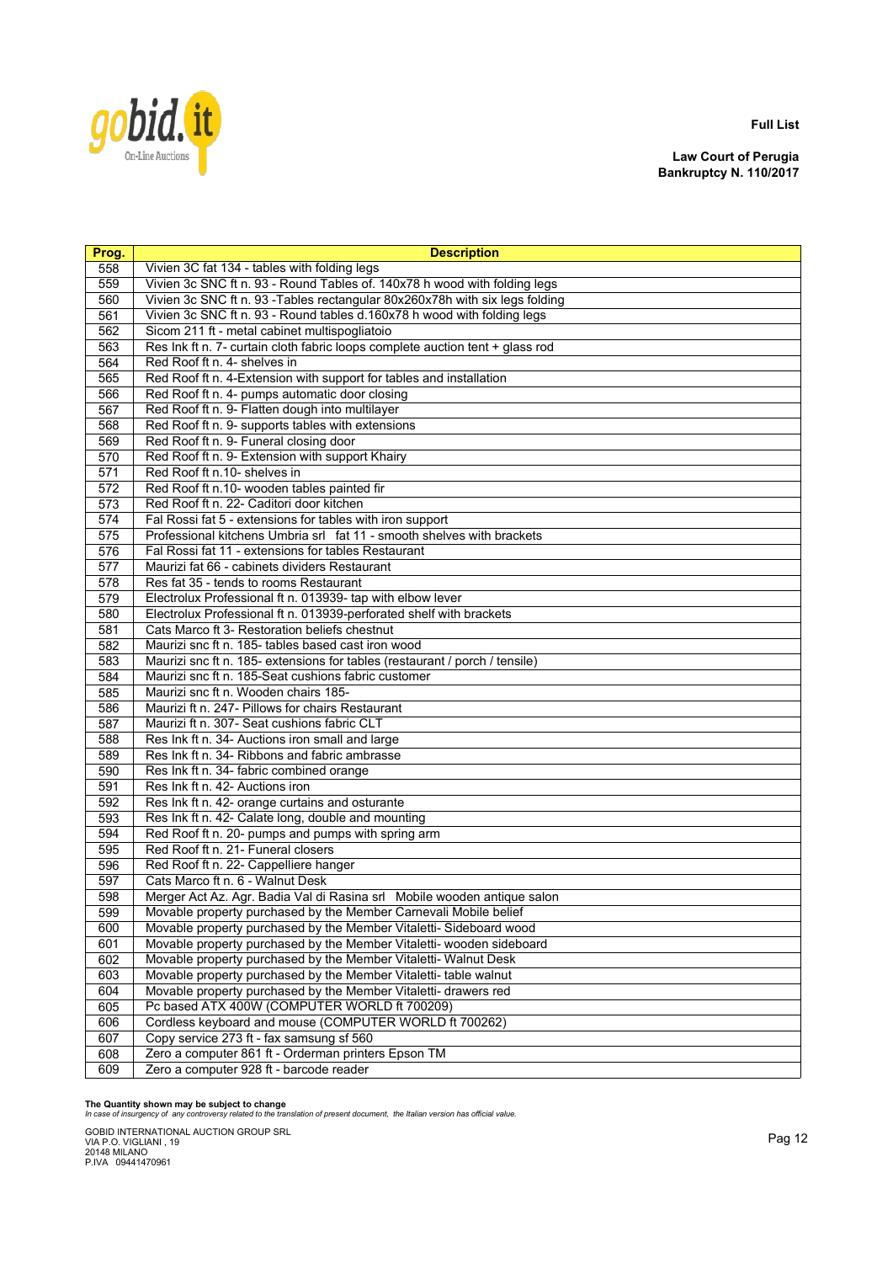

**Law Court of Perugia Bankruptcy N. 110/2017**

| Prog. | <b>Description</b>                                                            |
|-------|-------------------------------------------------------------------------------|
| 558   | Vivien 3C fat 134 - tables with folding legs                                  |
| 559   | Vivien 3c SNC ft n. 93 - Round Tables of. 140x78 h wood with folding legs     |
| 560   | Vivien 3c SNC ft n. 93 - Tables rectangular 80x260x78h with six legs folding  |
| 561   | Vivien 3c SNC ft n. 93 - Round tables d.160x78 h wood with folding legs       |
| 562   | Sicom 211 ft - metal cabinet multispogliatoio                                 |
| 563   | Res Ink ft n. 7- curtain cloth fabric loops complete auction tent + glass rod |
| 564   | Red Roof ft n. 4- shelves in                                                  |
| 565   | Red Roof ft n. 4-Extension with support for tables and installation           |
| 566   | Red Roof ft n. 4- pumps automatic door closing                                |
| 567   | Red Roof ft n. 9- Flatten dough into multilayer                               |
| 568   | Red Roof ft n. 9- supports tables with extensions                             |
| 569   | Red Roof ft n. 9- Funeral closing door                                        |
| 570   | Red Roof ft n. 9- Extension with support Khairy                               |
| 571   | Red Roof ft n.10- shelves in                                                  |
| 572   | Red Roof ft n.10- wooden tables painted fir                                   |
| 573   | Red Roof ft n. 22- Caditori door kitchen                                      |
| 574   | Fal Rossi fat 5 - extensions for tables with iron support                     |
| 575   | Professional kitchens Umbria srl fat 11 - smooth shelves with brackets        |
| 576   | Fal Rossi fat 11 - extensions for tables Restaurant                           |
| 577   | Maurizi fat 66 - cabinets dividers Restaurant                                 |
| 578   | Res fat 35 - tends to rooms Restaurant                                        |
| 579   | Electrolux Professional ft n. 013939- tap with elbow lever                    |
| 580   | Electrolux Professional ft n. 013939-perforated shelf with brackets           |
| 581   | Cats Marco ft 3- Restoration beliefs chestnut                                 |
| 582   | Maurizi snc ft n. 185- tables based cast iron wood                            |
| 583   | Maurizi snc ft n. 185- extensions for tables (restaurant / porch / tensile)   |
| 584   | Maurizi snc ft n. 185-Seat cushions fabric customer                           |
| 585   | Maurizi snc ft n. Wooden chairs 185-                                          |
| 586   | Maurizi ft n. 247- Pillows for chairs Restaurant                              |
| 587   | Maurizi ft n. 307- Seat cushions fabric CLT                                   |
| 588   | Res Ink ft n. 34- Auctions iron small and large                               |
| 589   | Res Ink ft n. 34- Ribbons and fabric ambrasse                                 |
| 590   | Res Ink ft n. 34- fabric combined orange                                      |
| 591   | Res Ink ft n. 42- Auctions iron                                               |
| 592   | Res Ink ft n. 42- orange curtains and osturante                               |
| 593   | Res Ink ft n. 42- Calate long, double and mounting                            |
| 594   | Red Roof ft n. 20- pumps and pumps with spring arm                            |
| 595   | Red Roof ft n. 21- Funeral closers                                            |
| 596   | Red Roof ft n. 22- Cappelliere hanger                                         |
| 597   | Cats Marco ft n. 6 - Walnut Desk                                              |
| 598   | Merger Act Az. Agr. Badia Val di Rasina srl Mobile wooden antique salon       |
| 599   | Movable property purchased by the Member Carnevali Mobile belief              |
| 600   | Movable property purchased by the Member Vitaletti-Sideboard wood             |
| 601   | Movable property purchased by the Member Vitaletti- wooden sideboard          |
| 602   | Movable property purchased by the Member Vitaletti- Walnut Desk               |
| 603   | Movable property purchased by the Member Vitaletti- table walnut              |
| 604   | Movable property purchased by the Member Vitaletti- drawers red               |
| 605   | Pc based ATX 400W (COMPUTER WORLD ft 700209)                                  |
| 606   | Cordless keyboard and mouse (COMPUTER WORLD ft 700262)                        |
| 607   | Copy service 273 ft - fax samsung sf 560                                      |
| 608   | Zero a computer 861 ft - Orderman printers Epson TM                           |
| 609   | Zero a computer 928 ft - barcode reader                                       |

**The Quantity shown may be subject to change** *In case of insurgency of any controversy related to the translation of present document, the Italian version has official value.*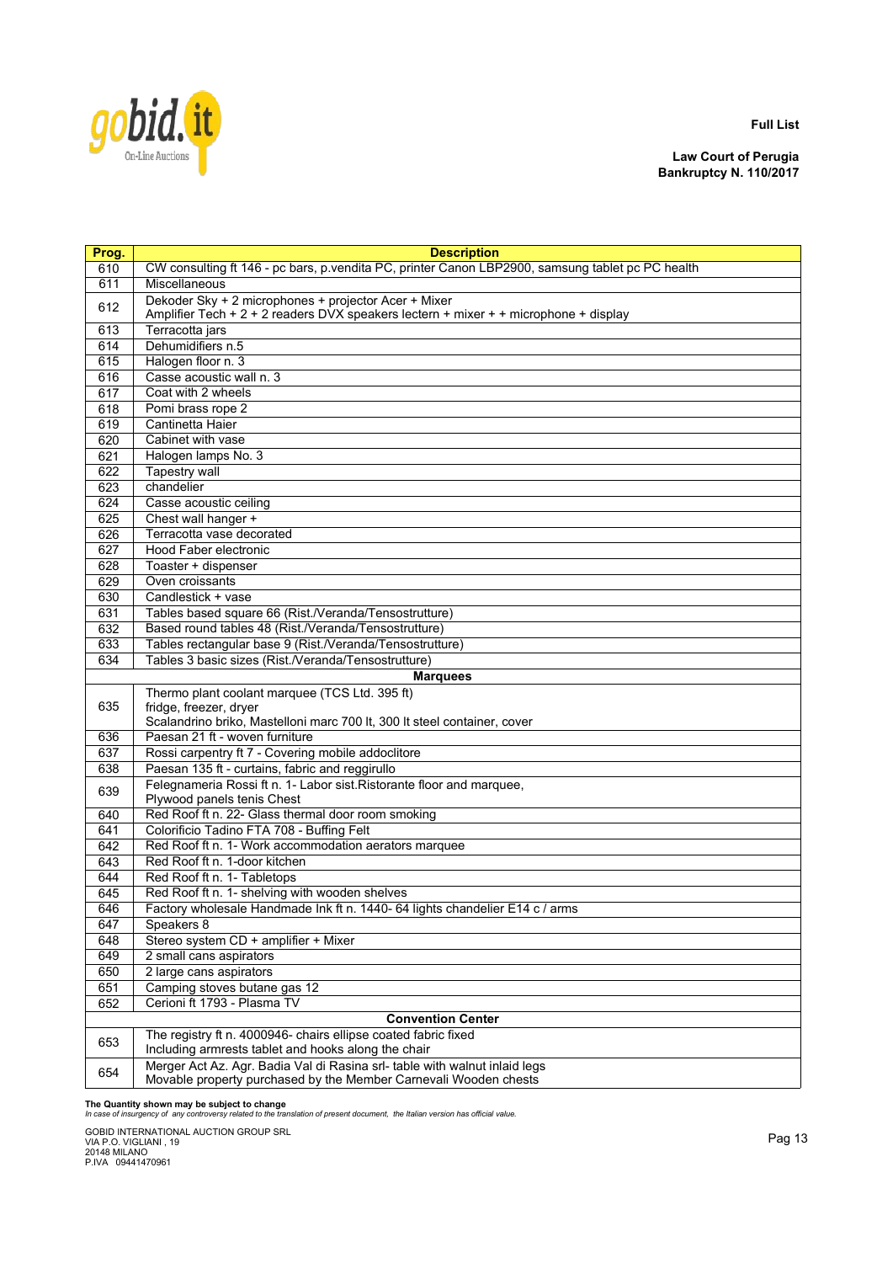

**Law Court of Perugia Bankruptcy N. 110/2017**

| Prog.      | <b>Description</b>                                                                               |
|------------|--------------------------------------------------------------------------------------------------|
| 610        | CW consulting ft 146 - pc bars, p.vendita PC, printer Canon LBP2900, samsung tablet pc PC health |
| 611        | Miscellaneous                                                                                    |
|            | Dekoder Sky + 2 microphones + projector Acer + Mixer                                             |
| 612        | Amplifier Tech + 2 + 2 readers DVX speakers lectern + mixer + + microphone + display             |
| 613        | Terracotta jars                                                                                  |
| 614        | Dehumidifiers n.5                                                                                |
| 615        | Halogen floor n. 3                                                                               |
| 616        | Casse acoustic wall n. 3                                                                         |
| 617        | Coat with 2 wheels                                                                               |
| 618        | Pomi brass rope 2                                                                                |
| 619        | Cantinetta Haier                                                                                 |
| 620        | Cabinet with vase                                                                                |
| 621        | Halogen lamps No. 3                                                                              |
| 622        | <b>Tapestry wall</b>                                                                             |
| 623        | chandelier                                                                                       |
| 624        | Casse acoustic ceiling                                                                           |
| 625        | Chest wall hanger +                                                                              |
| 626        | Terracotta vase decorated                                                                        |
| 627        | <b>Hood Faber electronic</b>                                                                     |
| 628        | Toaster + dispenser                                                                              |
| 629        | Oven croissants                                                                                  |
| 630        | Candlestick + vase                                                                               |
| 631        | Tables based square 66 (Rist./Veranda/Tensostrutture)                                            |
| 632        | Based round tables 48 (Rist./Veranda/Tensostrutture)                                             |
| 633        | Tables rectangular base 9 (Rist./Veranda/Tensostrutture)                                         |
| 634        | Tables 3 basic sizes (Rist./Veranda/Tensostrutture)                                              |
|            | <b>Marquees</b>                                                                                  |
|            | Thermo plant coolant marquee (TCS Ltd. 395 ft)                                                   |
| 635        | fridge, freezer, dryer                                                                           |
|            | Scalandrino briko, Mastelloni marc 700 lt, 300 lt steel container, cover                         |
| 636        | Paesan 21 ft - woven furniture                                                                   |
| 637        | Rossi carpentry ft 7 - Covering mobile addoclitore                                               |
| 638        | Paesan 135 ft - curtains, fabric and reggirullo                                                  |
| 639        | Felegnameria Rossi ft n. 1- Labor sist. Ristorante floor and marquee,                            |
|            | Plywood panels tenis Chest                                                                       |
| 640<br>641 | Red Roof ft n. 22- Glass thermal door room smoking<br>Colorificio Tadino FTA 708 - Buffing Felt  |
| 642        | Red Roof ft n. 1- Work accommodation aerators marquee                                            |
| 643        | Red Roof ft n. 1-door kitchen                                                                    |
| 644        | Red Roof ft n. 1- Tabletops                                                                      |
| 645        | Red Roof ft n. 1- shelving with wooden shelves                                                   |
| 646        | Factory wholesale Handmade Ink ft n. 1440- 64 lights chandelier E14 c / arms                     |
| 647        | Speakers 8                                                                                       |
| 648        | Stereo system CD + amplifier + Mixer                                                             |
| 649        | 2 small cans aspirators                                                                          |
| 650        | 2 large cans aspirators                                                                          |
| 651        | Camping stoves butane gas 12                                                                     |
| 652        | Cerioni ft 1793 - Plasma TV                                                                      |
|            | <b>Convention Center</b>                                                                         |
|            | The registry ft n. 4000946- chairs ellipse coated fabric fixed                                   |
| 653        | Including armrests tablet and hooks along the chair                                              |
|            | Merger Act Az. Agr. Badia Val di Rasina srl- table with walnut inlaid legs                       |
| 654        | Movable property purchased by the Member Carnevali Wooden chests                                 |

**The Quantity shown may be subject to change** *In case of insurgency of any controversy related to the translation of present document, the Italian version has official value.*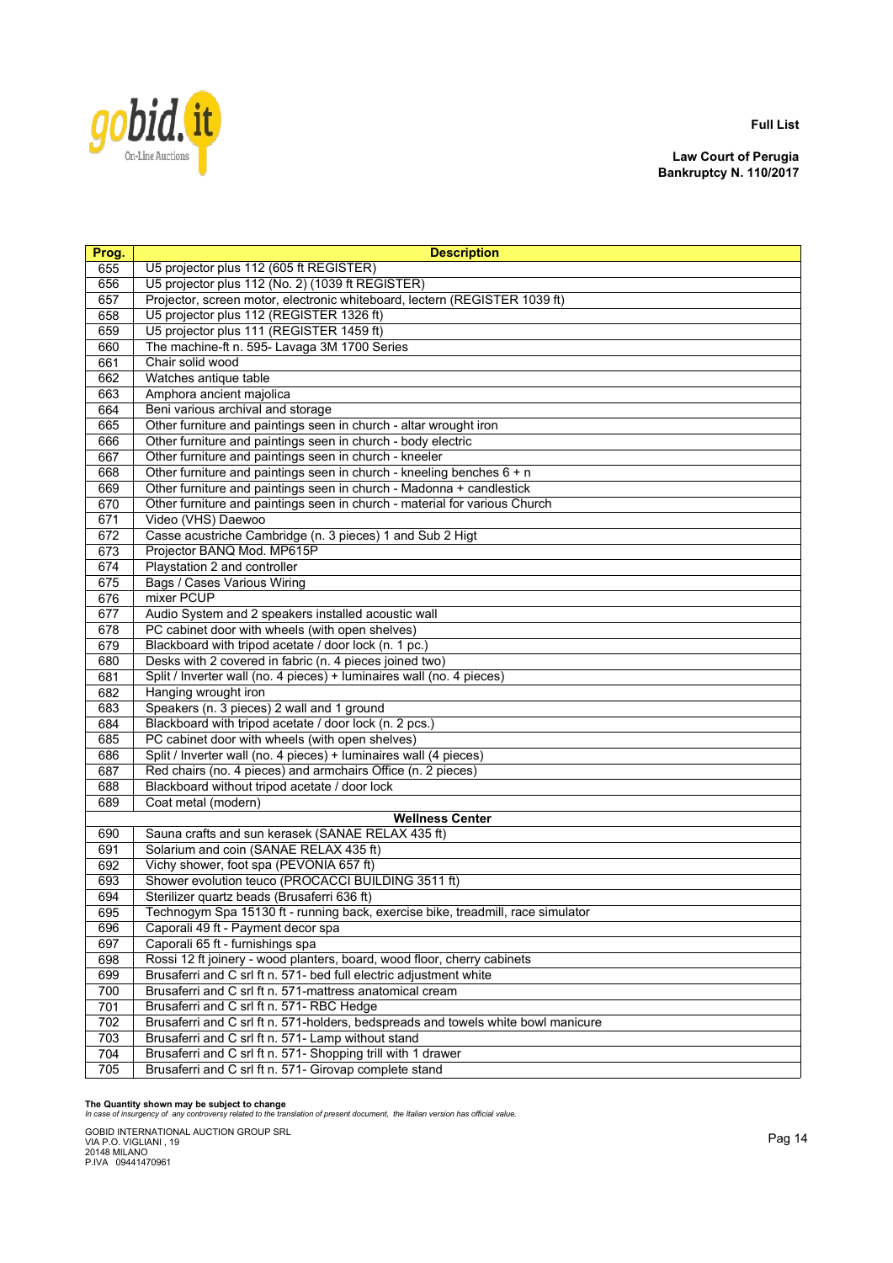

**Law Court of Perugia Bankruptcy N. 110/2017**

| Prog. | <b>Description</b>                                                                |
|-------|-----------------------------------------------------------------------------------|
| 655   | U5 projector plus 112 (605 ft REGISTER)                                           |
| 656   | U5 projector plus 112 (No. 2) (1039 ft REGISTER)                                  |
| 657   | Projector, screen motor, electronic whiteboard, lectern (REGISTER 1039 ft)        |
| 658   | U5 projector plus 112 (REGISTER 1326 ft)                                          |
| 659   | U5 projector plus 111 (REGISTER 1459 ft)                                          |
| 660   | The machine-ft n. 595- Lavaga 3M 1700 Series                                      |
| 661   | Chair solid wood                                                                  |
| 662   | Watches antique table                                                             |
| 663   | Amphora ancient majolica                                                          |
| 664   | Beni various archival and storage                                                 |
| 665   | Other furniture and paintings seen in church - altar wrought iron                 |
| 666   | Other furniture and paintings seen in church - body electric                      |
| 667   | Other furniture and paintings seen in church - kneeler                            |
| 668   | Other furniture and paintings seen in church - kneeling benches 6 + n             |
| 669   | Other furniture and paintings seen in church - Madonna + candlestick              |
| 670   | Other furniture and paintings seen in church - material for various Church        |
| 671   | Video (VHS) Daewoo                                                                |
| 672   | Casse acustriche Cambridge (n. 3 pieces) 1 and Sub 2 Higt                         |
| 673   | Projector BANQ Mod. MP615P                                                        |
| 674   | Playstation 2 and controller                                                      |
| 675   | <b>Bags / Cases Various Wiring</b>                                                |
| 676   | mixer PCUP                                                                        |
| 677   | Audio System and 2 speakers installed acoustic wall                               |
| 678   | PC cabinet door with wheels (with open shelves)                                   |
| 679   | Blackboard with tripod acetate / door lock (n. 1 pc.)                             |
| 680   | Desks with 2 covered in fabric (n. 4 pieces joined two)                           |
| 681   | Split / Inverter wall (no. 4 pieces) + luminaires wall (no. 4 pieces)             |
| 682   | Hanging wrought iron                                                              |
| 683   | Speakers (n. 3 pieces) 2 wall and 1 ground                                        |
| 684   | Blackboard with tripod acetate / door lock (n. 2 pcs.)                            |
| 685   | PC cabinet door with wheels (with open shelves)                                   |
| 686   | Split / Inverter wall (no. 4 pieces) + luminaires wall (4 pieces)                 |
| 687   | Red chairs (no. 4 pieces) and armchairs Office (n. 2 pieces)                      |
| 688   | Blackboard without tripod acetate / door lock                                     |
| 689   | Coat metal (modern)                                                               |
|       | <b>Wellness Center</b>                                                            |
| 690   | Sauna crafts and sun kerasek (SANAE RELAX 435 ft)                                 |
| 691   | Solarium and coin (SANAE RELAX 435 ft)                                            |
| 692   | Vichy shower, foot spa (PEVONIA 657 ft)                                           |
| 693   | Shower evolution teuco (PROCACCI BUILDING 3511 ft)                                |
| 694   | Sterilizer quartz beads (Brusaferri 636 ft)                                       |
| 695   | Technogym Spa 15130 ft - running back, exercise bike, treadmill, race simulator   |
| 696   | Caporali 49 ft - Payment decor spa                                                |
| 697   | Caporali 65 ft - furnishings spa                                                  |
| 698   | Rossi 12 ft joinery - wood planters, board, wood floor, cherry cabinets           |
| 699   | Brusaferri and C srl ft n. 571- bed full electric adjustment white                |
| 700   | Brusaferri and C srl ft n. 571-mattress anatomical cream                          |
| 701   | Brusaferri and C srl ft n. 571- RBC Hedge                                         |
| 702   | Brusaferri and C srl ft n. 571-holders, bedspreads and towels white bowl manicure |
| 703   | Brusaferri and C srl ft n. 571- Lamp without stand                                |
| 704   | Brusaferri and C srl ft n. 571- Shopping trill with 1 drawer                      |
| 705   | Brusaferri and C srl ft n. 571- Girovap complete stand                            |

**The Quantity shown may be subject to change** *In case of insurgency of any controversy related to the translation of present document, the Italian version has official value.*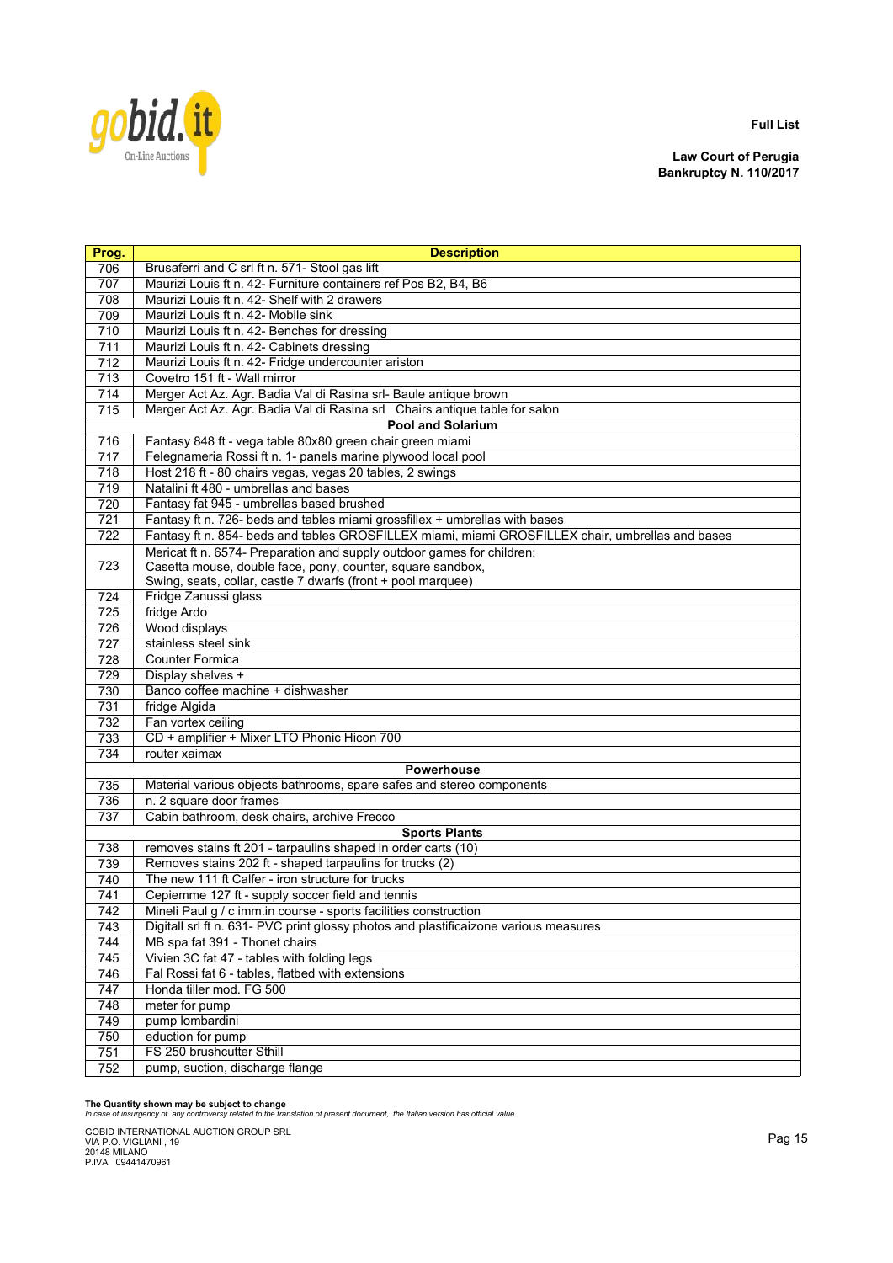

**Law Court of Perugia Bankruptcy N. 110/2017**

| Prog. | <b>Description</b>                                                                               |
|-------|--------------------------------------------------------------------------------------------------|
| 706   | Brusaferri and C srl ft n. 571- Stool gas lift                                                   |
| 707   | Maurizi Louis ft n. 42- Furniture containers ref Pos B2, B4, B6                                  |
| 708   | Maurizi Louis ft n. 42- Shelf with 2 drawers                                                     |
| 709   | Maurizi Louis ft n. 42- Mobile sink                                                              |
| 710   | Maurizi Louis ft n. 42- Benches for dressing                                                     |
| 711   | Maurizi Louis ft n. 42- Cabinets dressing                                                        |
| 712   | Maurizi Louis ft n. 42- Fridge undercounter ariston                                              |
| 713   | Covetro 151 ft - Wall mirror                                                                     |
| 714   | Merger Act Az. Agr. Badia Val di Rasina srl- Baule antique brown                                 |
| 715   | Merger Act Az. Agr. Badia Val di Rasina srl Chairs antique table for salon                       |
|       | <b>Pool and Solarium</b>                                                                         |
| 716   | Fantasy 848 ft - vega table 80x80 green chair green miami                                        |
| 717   | Felegnameria Rossi ft n. 1- panels marine plywood local pool                                     |
| 718   | Host 218 ft - 80 chairs vegas, vegas 20 tables, 2 swings                                         |
| 719   | Natalini ft 480 - umbrellas and bases                                                            |
| 720   | Fantasy fat 945 - umbrellas based brushed                                                        |
| 721   | Fantasy ft n. 726- beds and tables miami grossfillex + umbrellas with bases                      |
| 722   | Fantasy ft n. 854- beds and tables GROSFILLEX miami, miami GROSFILLEX chair, umbrellas and bases |
|       | Mericat ft n. 6574- Preparation and supply outdoor games for children:                           |
| 723   | Casetta mouse, double face, pony, counter, square sandbox,                                       |
| 724   | Swing, seats, collar, castle 7 dwarfs (front + pool marquee)<br>Fridge Zanussi glass             |
| 725   | fridge Ardo                                                                                      |
| 726   | Wood displays                                                                                    |
| 727   | stainless steel sink                                                                             |
| 728   | <b>Counter Formica</b>                                                                           |
| 729   | Display shelves +                                                                                |
| 730   | Banco coffee machine + dishwasher                                                                |
| 731   | fridge Algida                                                                                    |
| 732   | Fan vortex ceiling                                                                               |
| 733   | CD + amplifier + Mixer LTO Phonic Hicon 700                                                      |
| 734   | router xaimax                                                                                    |
|       | <b>Powerhouse</b>                                                                                |
| 735   | Material various objects bathrooms, spare safes and stereo components                            |
| 736   | n. 2 square door frames                                                                          |
| 737   | Cabin bathroom, desk chairs, archive Frecco                                                      |
|       | <b>Sports Plants</b>                                                                             |
| 738   | removes stains ft 201 - tarpaulins shaped in order carts (10)                                    |
| 739   | Removes stains 202 ft - shaped tarpaulins for trucks (2)                                         |
| 740   | The new 111 ft Calfer - iron structure for trucks                                                |
| 741   | Cepiemme 127 ft - supply soccer field and tennis                                                 |
| 742   | Mineli Paul g / c imm.in course - sports facilities construction                                 |
| 743   | Digitall srl ft n. 631- PVC print glossy photos and plastificaizone various measures             |
| 744   | MB spa fat 391 - Thonet chairs                                                                   |
| 745   | Vivien 3C fat 47 - tables with folding legs                                                      |
| 746   | Fal Rossi fat 6 - tables, flatbed with extensions                                                |
| 747   | Honda tiller mod. FG 500                                                                         |
| 748   | meter for pump                                                                                   |
| 749   | pump lombardini                                                                                  |
| 750   | eduction for pump                                                                                |
| 751   | FS 250 brushcutter Sthill                                                                        |
| 752   | pump, suction, discharge flange                                                                  |

**The Quantity shown may be subject to change** *In case of insurgency of any controversy related to the translation of present document, the Italian version has official value.*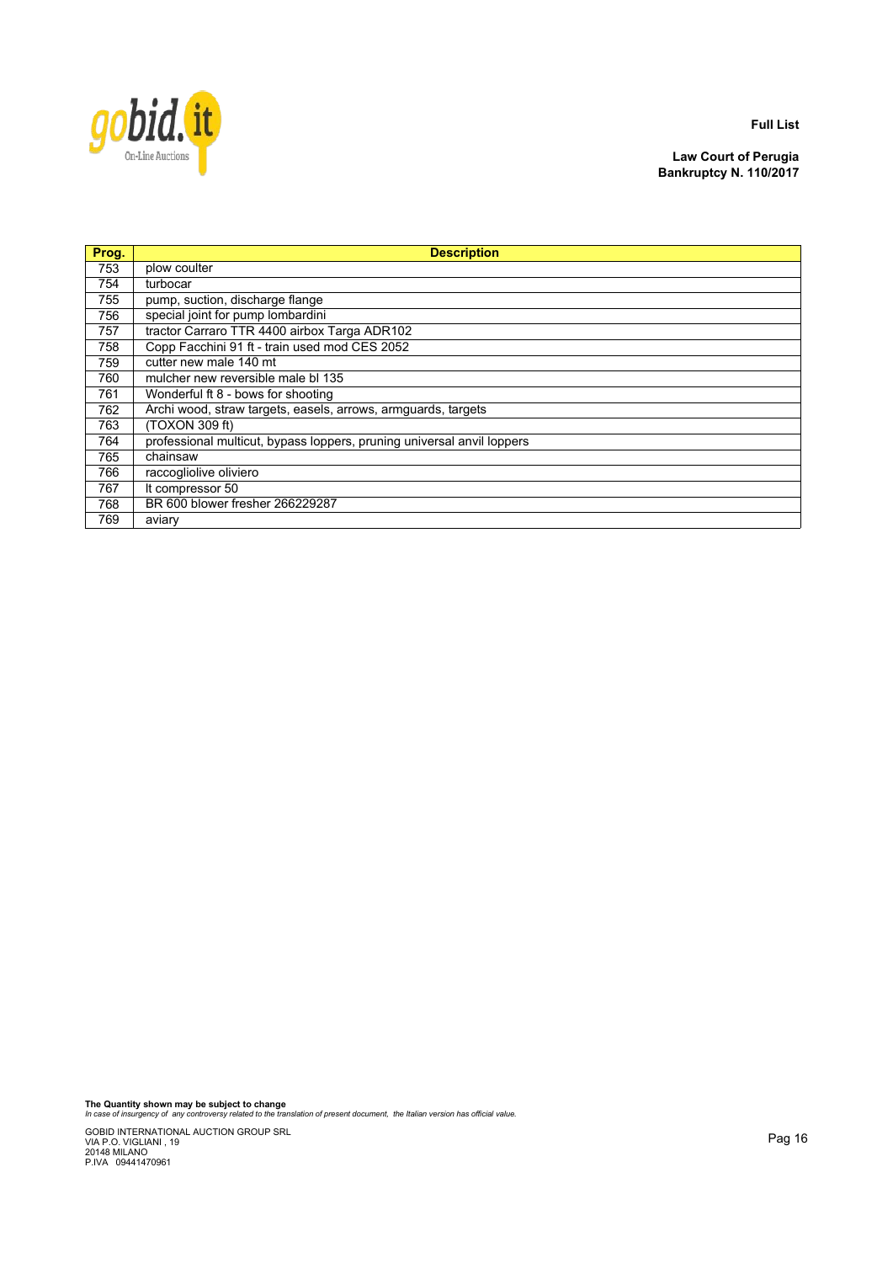

**Law Court of Perugia Bankruptcy N. 110/2017**

| Prog. | <b>Description</b>                                                     |
|-------|------------------------------------------------------------------------|
| 753   | plow coulter                                                           |
| 754   | turbocar                                                               |
| 755   | pump, suction, discharge flange                                        |
| 756   | special joint for pump lombardini                                      |
| 757   | tractor Carraro TTR 4400 airbox Targa ADR102                           |
| 758   | Copp Facchini 91 ft - train used mod CES 2052                          |
| 759   | cutter new male 140 mt                                                 |
| 760   | mulcher new reversible male bl 135                                     |
| 761   | Wonderful ft 8 - bows for shooting                                     |
| 762   | Archi wood, straw targets, easels, arrows, armguards, targets          |
| 763   | (TOXON 309 ft)                                                         |
| 764   | professional multicut, bypass loppers, pruning universal anvil loppers |
| 765   | chainsaw                                                               |
| 766   | raccogliolive oliviero                                                 |
| 767   | It compressor 50                                                       |
| 768   | BR 600 blower fresher 266229287                                        |
| 769   | aviary                                                                 |

**The Quantity shown may be subject to change** *In case of insurgency of any controversy related to the translation of present document, the Italian version has official value.*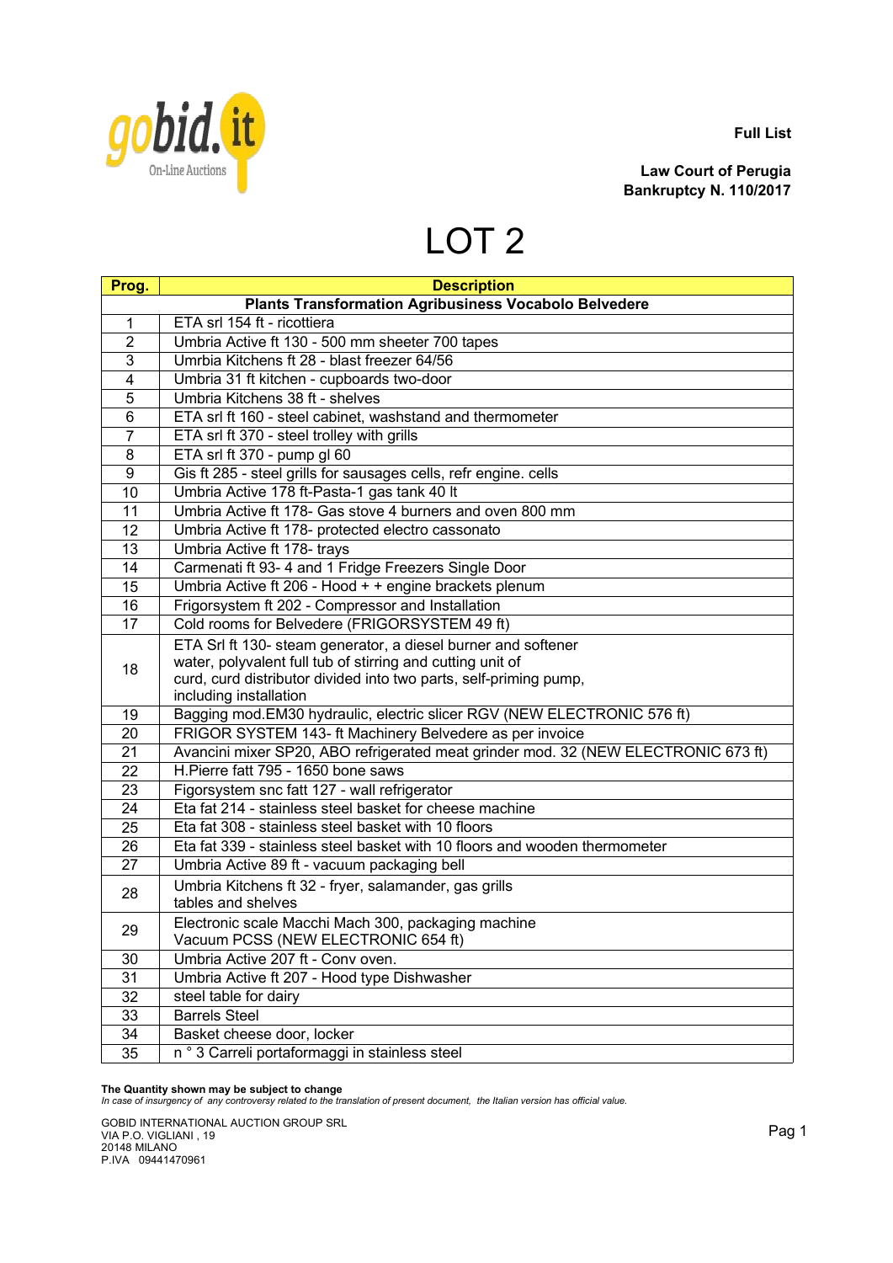

**Law Court of Perugia Bankruptcy N. 110/2017**

## LOT 2

| Prog.          | <b>Description</b>                                                                                                                                                                                                         |
|----------------|----------------------------------------------------------------------------------------------------------------------------------------------------------------------------------------------------------------------------|
|                | <b>Plants Transformation Agribusiness Vocabolo Belvedere</b>                                                                                                                                                               |
| 1              | ETA srl 154 ft - ricottiera                                                                                                                                                                                                |
| $\overline{2}$ | Umbria Active ft 130 - 500 mm sheeter 700 tapes                                                                                                                                                                            |
| 3              | Umrbia Kitchens ft 28 - blast freezer 64/56                                                                                                                                                                                |
| 4              | Umbria 31 ft kitchen - cupboards two-door                                                                                                                                                                                  |
| 5              | Umbria Kitchens 38 ft - shelves                                                                                                                                                                                            |
| 6              | ETA srl ft 160 - steel cabinet, washstand and thermometer                                                                                                                                                                  |
| $\overline{7}$ | ETA srl ft 370 - steel trolley with grills                                                                                                                                                                                 |
| 8              | ETA srl ft 370 - pump gl 60                                                                                                                                                                                                |
| 9              | Gis ft 285 - steel grills for sausages cells, refr engine. cells                                                                                                                                                           |
| 10             | Umbria Active 178 ft-Pasta-1 gas tank 40 lt                                                                                                                                                                                |
| 11             | Umbria Active ft 178- Gas stove 4 burners and oven 800 mm                                                                                                                                                                  |
| 12             | Umbria Active ft 178- protected electro cassonato                                                                                                                                                                          |
| 13             | Umbria Active ft 178- trays                                                                                                                                                                                                |
| 14             | Carmenati ft 93- 4 and 1 Fridge Freezers Single Door                                                                                                                                                                       |
| 15             | Umbria Active ft 206 - Hood + + engine brackets plenum                                                                                                                                                                     |
| 16             | Frigorsystem ft 202 - Compressor and Installation                                                                                                                                                                          |
| 17             | Cold rooms for Belvedere (FRIGORSYSTEM 49 ft)                                                                                                                                                                              |
| 18             | ETA Srl ft 130- steam generator, a diesel burner and softener<br>water, polyvalent full tub of stirring and cutting unit of<br>curd, curd distributor divided into two parts, self-priming pump,<br>including installation |
| 19             | Bagging mod. EM30 hydraulic, electric slicer RGV (NEW ELECTRONIC 576 ft)                                                                                                                                                   |
| 20             | FRIGOR SYSTEM 143- ft Machinery Belvedere as per invoice                                                                                                                                                                   |
| 21             | Avancini mixer SP20, ABO refrigerated meat grinder mod. 32 (NEW ELECTRONIC 673 ft)                                                                                                                                         |
| 22             | H.Pierre fatt 795 - 1650 bone saws                                                                                                                                                                                         |
| 23             | Figorsystem snc fatt 127 - wall refrigerator                                                                                                                                                                               |
| 24             | Eta fat 214 - stainless steel basket for cheese machine                                                                                                                                                                    |
| 25             | Eta fat 308 - stainless steel basket with 10 floors                                                                                                                                                                        |
| 26             | Eta fat 339 - stainless steel basket with 10 floors and wooden thermometer                                                                                                                                                 |
| 27             | Umbria Active 89 ft - vacuum packaging bell                                                                                                                                                                                |
| 28             | Umbria Kitchens ft 32 - fryer, salamander, gas grills<br>tables and shelves                                                                                                                                                |
| 29             | Electronic scale Macchi Mach 300, packaging machine<br>Vacuum PCSS (NEW ELECTRONIC 654 ft)                                                                                                                                 |
| 30             | Umbria Active 207 ft - Conv oven.                                                                                                                                                                                          |
| 31             | Umbria Active ft 207 - Hood type Dishwasher                                                                                                                                                                                |
| 32             | steel table for dairy                                                                                                                                                                                                      |
| 33             | <b>Barrels Steel</b>                                                                                                                                                                                                       |
| 34             | Basket cheese door, locker                                                                                                                                                                                                 |
| 35             | n ° 3 Carreli portaformaggi in stainless steel                                                                                                                                                                             |

**The Quantity shown may be subject to change** *In case of insurgency of any controversy related to the translation of present document, the Italian version has official value.*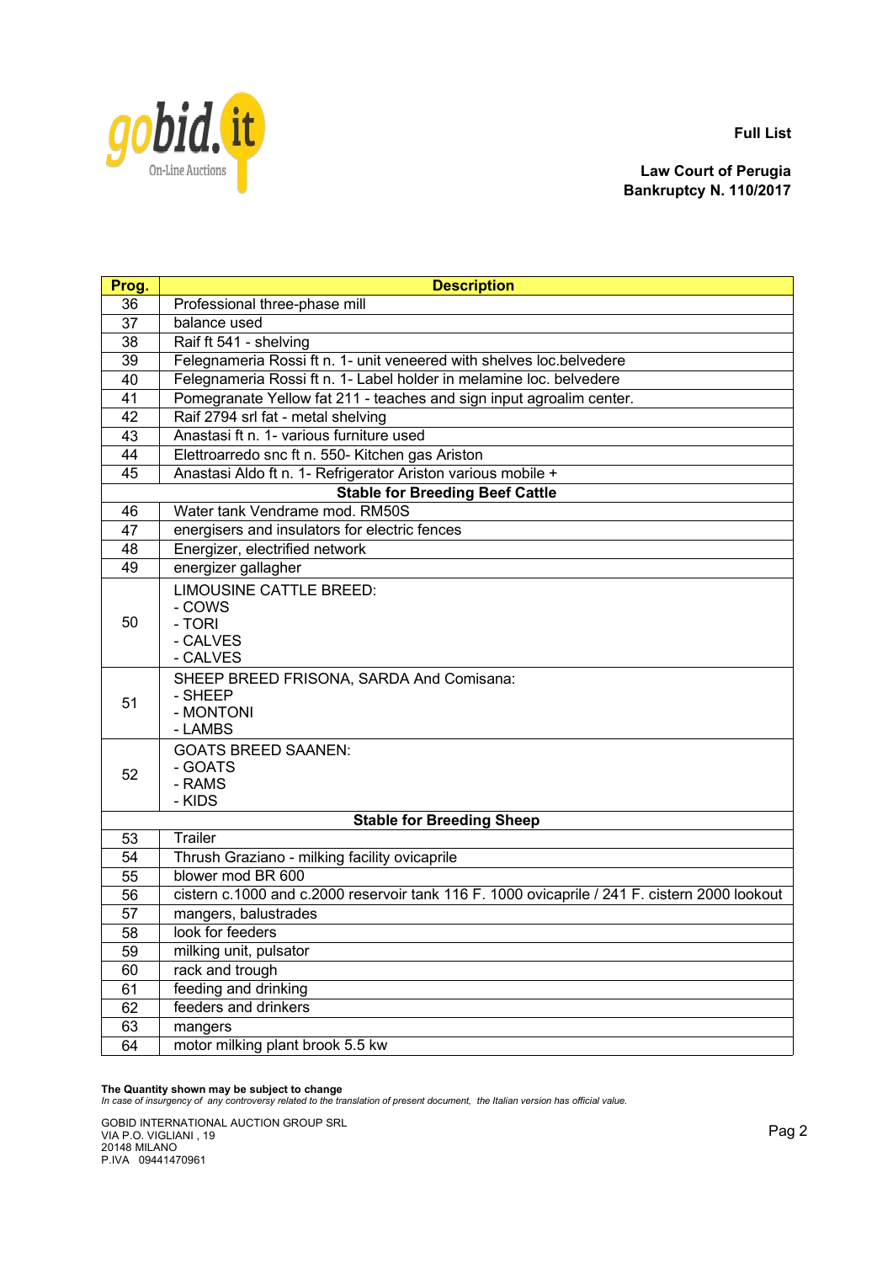

**Law Court of Perugia Bankruptcy N. 110/2017**

| Prog. | <b>Description</b>                                                                            |
|-------|-----------------------------------------------------------------------------------------------|
| 36    | Professional three-phase mill                                                                 |
| 37    | balance used                                                                                  |
| 38    | Raif ft 541 - shelving                                                                        |
| 39    | Felegnameria Rossi ft n. 1- unit veneered with shelves loc.belvedere                          |
| 40    | Felegnameria Rossi ft n. 1- Label holder in melamine loc. belvedere                           |
| 41    | Pomegranate Yellow fat 211 - teaches and sign input agroalim center.                          |
| 42    | Raif 2794 srl fat - metal shelving                                                            |
| 43    | Anastasi ft n. 1- various furniture used                                                      |
| 44    | Elettroarredo snc ft n. 550- Kitchen gas Ariston                                              |
| 45    | Anastasi Aldo ft n. 1- Refrigerator Ariston various mobile +                                  |
|       | <b>Stable for Breeding Beef Cattle</b>                                                        |
| 46    | Water tank Vendrame mod. RM50S                                                                |
| 47    | energisers and insulators for electric fences                                                 |
| 48    | Energizer, electrified network                                                                |
| 49    | energizer gallagher                                                                           |
| 50    | <b>LIMOUSINE CATTLE BREED:</b><br>- COWS<br>- TORI<br>- CALVES<br>- CALVES                    |
| 51    | SHEEP BREED FRISONA, SARDA And Comisana:<br>- SHEEP<br>- MONTONI<br>- LAMBS                   |
| 52    | <b>GOATS BREED SAANEN:</b><br>- GOATS<br>- RAMS<br>- KIDS                                     |
|       | <b>Stable for Breeding Sheep</b>                                                              |
| 53    | Trailer                                                                                       |
| 54    | Thrush Graziano - milking facility ovicaprile                                                 |
| 55    | blower mod BR 600                                                                             |
| 56    | cistern c.1000 and c.2000 reservoir tank 116 F. 1000 ovicaprile / 241 F. cistern 2000 lookout |
| 57    | mangers, balustrades                                                                          |
| 58    | look for feeders                                                                              |
| 59    | milking unit, pulsator                                                                        |
| 60    | rack and trough                                                                               |
| 61    | feeding and drinking                                                                          |
| 62    | feeders and drinkers                                                                          |
| 63    | mangers                                                                                       |
| 64    | motor milking plant brook 5.5 kw                                                              |

**The Quantity shown may be subject to change** *In case of insurgency of any controversy related to the translation of present document, the Italian version has official value.*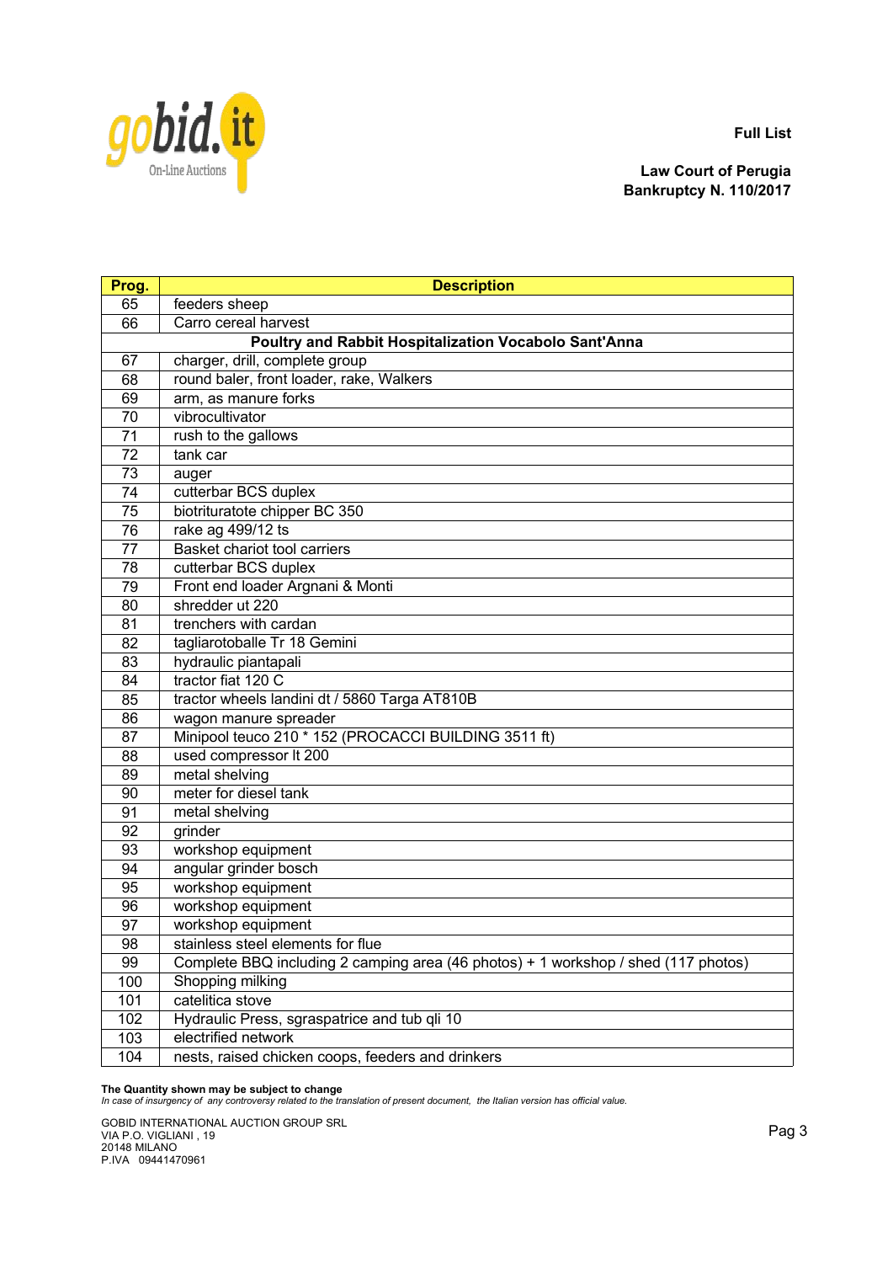



| Prog. | <b>Description</b>                                                                 |  |
|-------|------------------------------------------------------------------------------------|--|
| 65    | feeders sheep                                                                      |  |
| 66    | Carro cereal harvest                                                               |  |
|       | Poultry and Rabbit Hospitalization Vocabolo Sant'Anna                              |  |
| 67    | charger, drill, complete group                                                     |  |
| 68    | round baler, front loader, rake, Walkers                                           |  |
| 69    | arm, as manure forks                                                               |  |
| 70    | vibrocultivator                                                                    |  |
| 71    | rush to the gallows                                                                |  |
| 72    | tank car                                                                           |  |
| 73    | auger                                                                              |  |
| 74    | cutterbar BCS duplex                                                               |  |
| 75    | biotrituratote chipper BC 350                                                      |  |
| 76    | rake ag 499/12 ts                                                                  |  |
| 77    | Basket chariot tool carriers                                                       |  |
| 78    | cutterbar BCS duplex                                                               |  |
| 79    | Front end loader Argnani & Monti                                                   |  |
| 80    | shredder ut 220                                                                    |  |
| 81    | trenchers with cardan                                                              |  |
| 82    | tagliarotoballe Tr 18 Gemini                                                       |  |
| 83    | hydraulic piantapali                                                               |  |
| 84    | tractor fiat 120 C                                                                 |  |
| 85    | tractor wheels landini dt / 5860 Targa AT810B                                      |  |
| 86    | wagon manure spreader                                                              |  |
| 87    | Minipool teuco 210 * 152 (PROCACCI BUILDING 3511 ft)                               |  |
| 88    | used compressor It 200                                                             |  |
| 89    | metal shelving                                                                     |  |
| 90    | meter for diesel tank                                                              |  |
| 91    | metal shelving                                                                     |  |
| 92    | grinder                                                                            |  |
| 93    | workshop equipment                                                                 |  |
| 94    | angular grinder bosch                                                              |  |
| 95    | workshop equipment                                                                 |  |
| 96    | workshop equipment                                                                 |  |
| 97    | workshop equipment                                                                 |  |
| 98    | stainless steel elements for flue                                                  |  |
| 99    | Complete BBQ including 2 camping area (46 photos) + 1 workshop / shed (117 photos) |  |
| 100   | Shopping milking                                                                   |  |
| 101   | catelitica stove                                                                   |  |
| 102   | Hydraulic Press, sgraspatrice and tub qli 10                                       |  |
| 103   | electrified network                                                                |  |
| 104   | nests, raised chicken coops, feeders and drinkers                                  |  |

**The Quantity shown may be subject to change** *In case of insurgency of any controversy related to the translation of present document, the Italian version has official value.*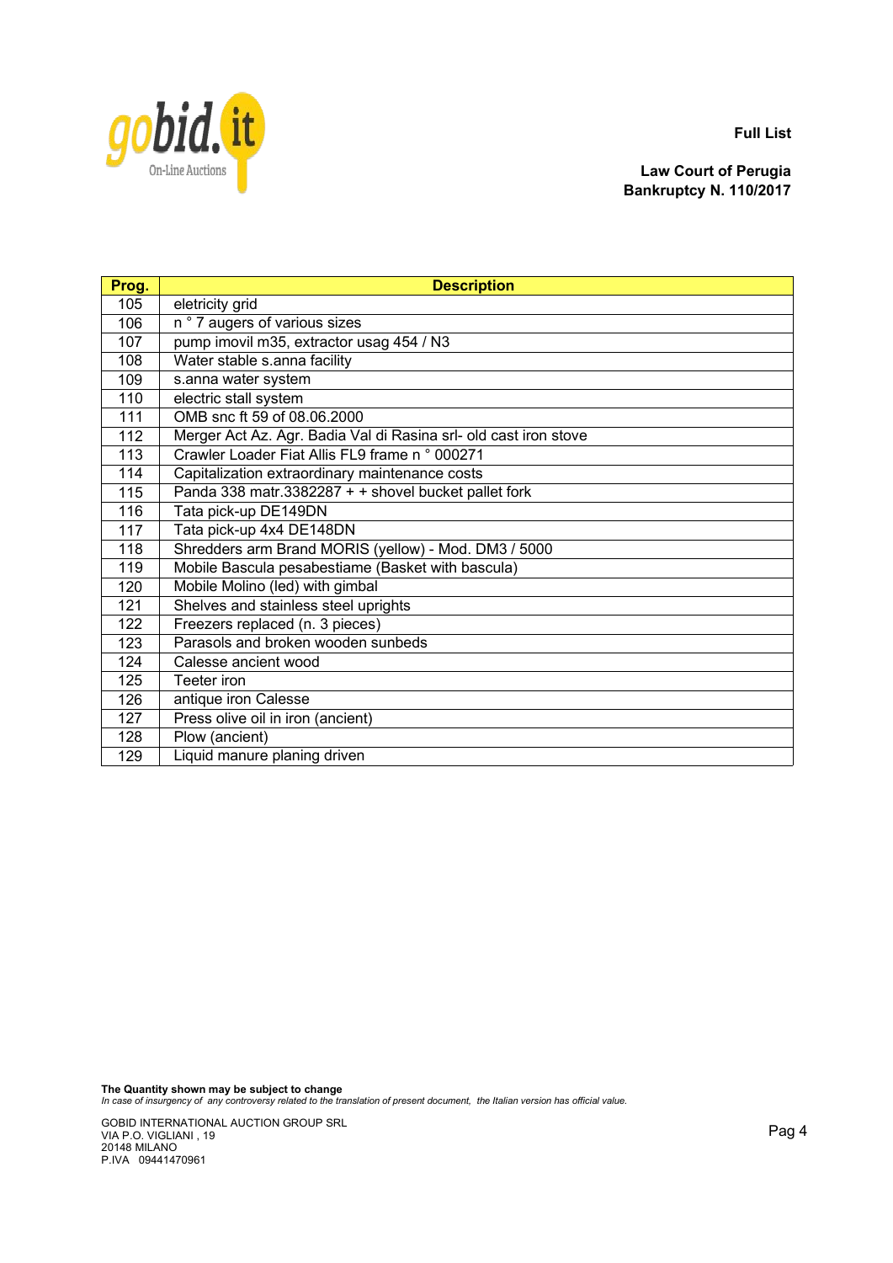

**Law Court of Perugia Bankruptcy N. 110/2017**

| Prog. | <b>Description</b>                                               |
|-------|------------------------------------------------------------------|
| 105   | eletricity grid                                                  |
| 106   | n ° 7 augers of various sizes                                    |
| 107   | pump imovil m35, extractor usag 454 / N3                         |
| 108   | Water stable s.anna facility                                     |
| 109   | s.anna water system                                              |
| 110   | electric stall system                                            |
| 111   | OMB snc ft 59 of 08.06.2000                                      |
| 112   | Merger Act Az. Agr. Badia Val di Rasina srl- old cast iron stove |
| 113   | Crawler Loader Fiat Allis FL9 frame n ° 000271                   |
| 114   | Capitalization extraordinary maintenance costs                   |
| 115   | Panda 338 matr.3382287 + + shovel bucket pallet fork             |
| 116   | Tata pick-up DE149DN                                             |
| 117   | Tata pick-up 4x4 DE148DN                                         |
| 118   | Shredders arm Brand MORIS (yellow) - Mod. DM3 / 5000             |
| 119   | Mobile Bascula pesabestiame (Basket with bascula)                |
| 120   | Mobile Molino (led) with gimbal                                  |
| 121   | Shelves and stainless steel uprights                             |
| 122   | Freezers replaced (n. 3 pieces)                                  |
| 123   | Parasols and broken wooden sunbeds                               |
| 124   | Calesse ancient wood                                             |
| 125   | Teeter iron                                                      |
| 126   | antique iron Calesse                                             |
| 127   | Press olive oil in iron (ancient)                                |
| 128   | Plow (ancient)                                                   |
| 129   | Liquid manure planing driven                                     |

**The Quantity shown may be subject to change** *In case of insurgency of any controversy related to the translation of present document, the Italian version has official value.*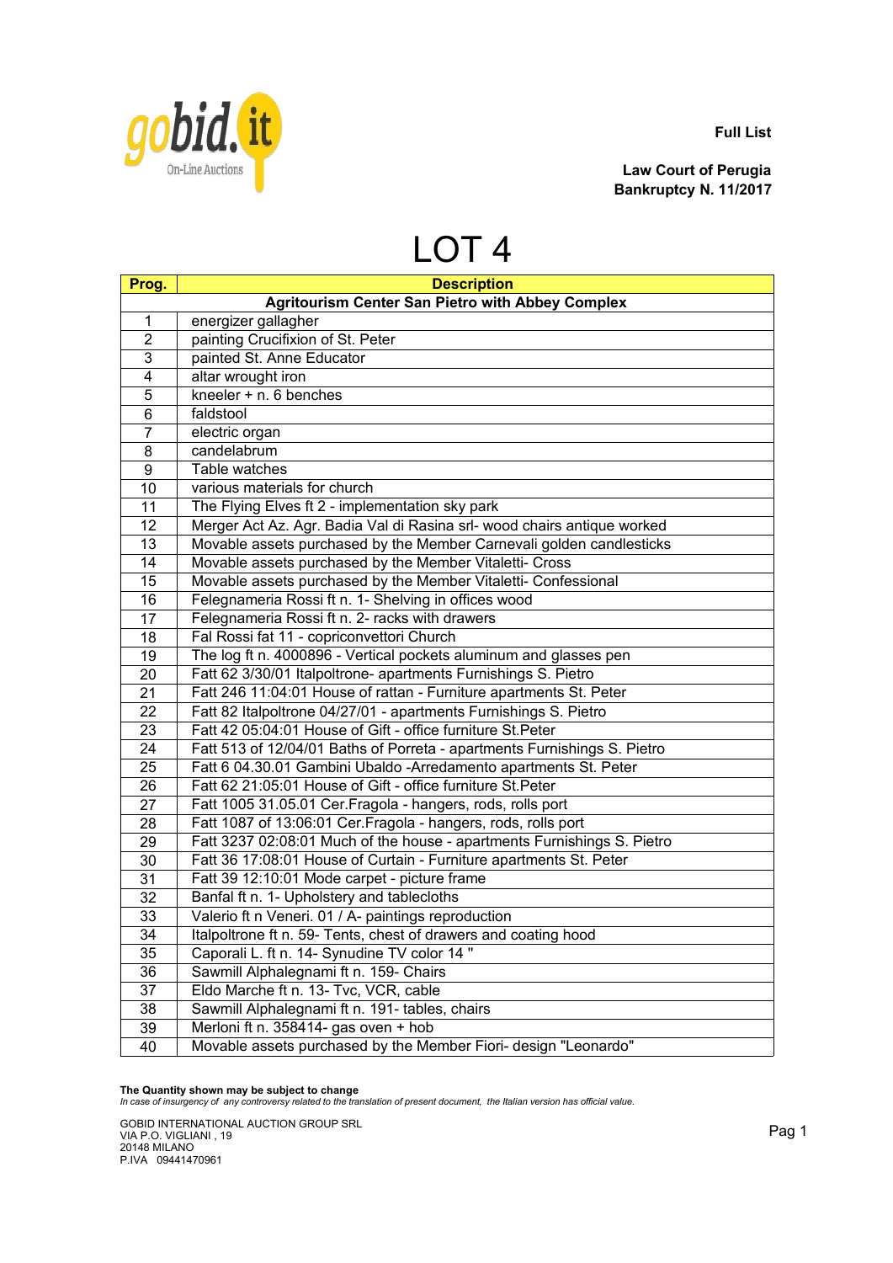

**Law Court of Perugia Bankruptcy N. 11/2017**

## LOT 4

| Prog.           | <b>Description</b>                                                       |
|-----------------|--------------------------------------------------------------------------|
|                 | <b>Agritourism Center San Pietro with Abbey Complex</b>                  |
| $\mathbf{1}$    | energizer gallagher                                                      |
| $\overline{2}$  | painting Crucifixion of St. Peter                                        |
| 3               | painted St. Anne Educator                                                |
| 4               | altar wrought iron                                                       |
| 5               | kneeler + n. 6 benches                                                   |
| 6               | faldstool                                                                |
| 7               | electric organ                                                           |
| 8               | candelabrum                                                              |
| 9               | Table watches                                                            |
| 10              | various materials for church                                             |
| 11              | The Flying Elves ft 2 - implementation sky park                          |
| 12              | Merger Act Az. Agr. Badia Val di Rasina srl- wood chairs antique worked  |
| 13              | Movable assets purchased by the Member Carnevali golden candlesticks     |
| 14              | Movable assets purchased by the Member Vitaletti- Cross                  |
| 15              | Movable assets purchased by the Member Vitaletti- Confessional           |
| 16              | Felegnameria Rossi ft n. 1- Shelving in offices wood                     |
| 17              | Felegnameria Rossi ft n. 2- racks with drawers                           |
| 18              | Fal Rossi fat 11 - copriconvettori Church                                |
| 19              | The log ft n. 4000896 - Vertical pockets aluminum and glasses pen        |
| 20              | Fatt 62 3/30/01 Italpoltrone- apartments Furnishings S. Pietro           |
| 21              | Fatt 246 11:04:01 House of rattan - Furniture apartments St. Peter       |
| 22              | Fatt 82 Italpoltrone 04/27/01 - apartments Furnishings S. Pietro         |
| 23              | Fatt 42 05:04:01 House of Gift - office furniture St. Peter              |
| 24              | Fatt 513 of 12/04/01 Baths of Porreta - apartments Furnishings S. Pietro |
| 25              | Fatt 6 04.30.01 Gambini Ubaldo -Arredamento apartments St. Peter         |
| 26              | Fatt 62 21:05:01 House of Gift - office furniture St.Peter               |
| 27              | Fatt 1005 31.05.01 Cer. Fragola - hangers, rods, rolls port              |
| 28              | Fatt 1087 of 13:06:01 Cer.Fragola - hangers, rods, rolls port            |
| 29              | Fatt 3237 02:08:01 Much of the house - apartments Furnishings S. Pietro  |
| 30              | Fatt 36 17:08:01 House of Curtain - Furniture apartments St. Peter       |
| 31              | Fatt 39 12:10:01 Mode carpet - picture frame                             |
| 32              | Banfal ft n. 1- Upholstery and tablecloths                               |
| 33              | Valerio ft n Veneri. 01 / A- paintings reproduction                      |
| 34              | Italpoltrone ft n. 59- Tents, chest of drawers and coating hood          |
| 35              | Caporali L. ft n. 14- Synudine TV color 14"                              |
| $\overline{36}$ | Sawmill Alphalegnami ft n. 159- Chairs                                   |
| $\overline{37}$ | Eldo Marche ft n. 13- Tvc, VCR, cable                                    |
| 38              | Sawmill Alphalegnami ft n. 191- tables, chairs                           |
| 39              | Merloni ft n. 358414- gas oven + hob                                     |
| 40              | Movable assets purchased by the Member Fiori- design "Leonardo"          |

**The Quantity shown may be subject to change** *In case of insurgency of any controversy related to the translation of present document, the Italian version has official value.*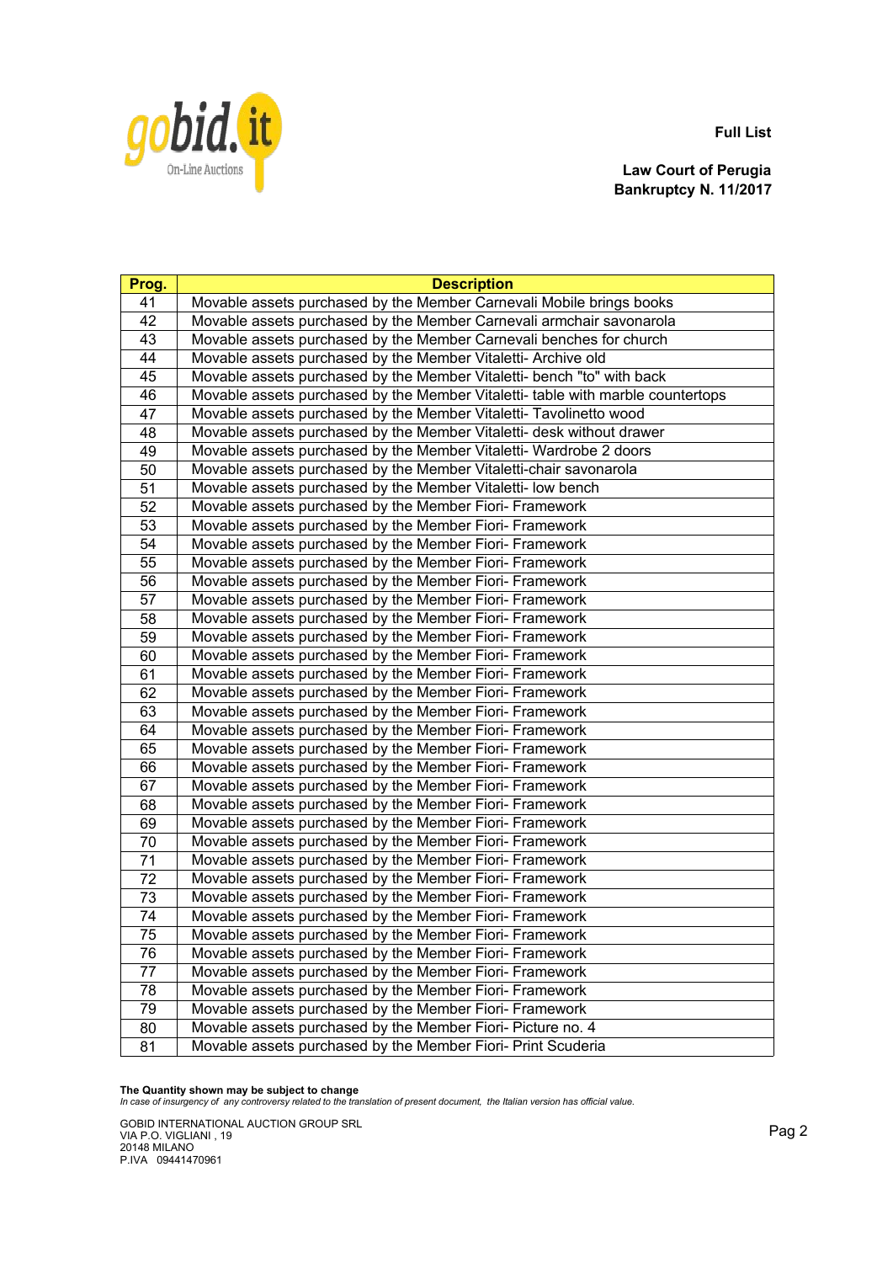

**Law Court of Perugia Bankruptcy N. 11/2017**

| Prog.           | <b>Description</b>                                                              |
|-----------------|---------------------------------------------------------------------------------|
| 41              | Movable assets purchased by the Member Carnevali Mobile brings books            |
| 42              | Movable assets purchased by the Member Carnevali armchair savonarola            |
| 43              | Movable assets purchased by the Member Carnevali benches for church             |
| $\overline{44}$ | Movable assets purchased by the Member Vitaletti- Archive old                   |
| 45              | Movable assets purchased by the Member Vitaletti- bench "to" with back          |
| 46              | Movable assets purchased by the Member Vitaletti- table with marble countertops |
| 47              | Movable assets purchased by the Member Vitaletti- Tavolinetto wood              |
| 48              | Movable assets purchased by the Member Vitaletti- desk without drawer           |
| 49              | Movable assets purchased by the Member Vitaletti- Wardrobe 2 doors              |
| 50              | Movable assets purchased by the Member Vitaletti-chair savonarola               |
| 51              | Movable assets purchased by the Member Vitaletti- low bench                     |
| 52              | Movable assets purchased by the Member Fiori- Framework                         |
| 53              | Movable assets purchased by the Member Fiori- Framework                         |
| $\overline{54}$ | Movable assets purchased by the Member Fiori- Framework                         |
| 55              | Movable assets purchased by the Member Fiori- Framework                         |
| 56              | Movable assets purchased by the Member Fiori- Framework                         |
| $\overline{57}$ | Movable assets purchased by the Member Fiori- Framework                         |
| 58              | Movable assets purchased by the Member Fiori- Framework                         |
| $\overline{59}$ | Movable assets purchased by the Member Fiori- Framework                         |
| 60              | Movable assets purchased by the Member Fiori- Framework                         |
| 61              | Movable assets purchased by the Member Fiori- Framework                         |
| 62              | Movable assets purchased by the Member Fiori- Framework                         |
| 63              | Movable assets purchased by the Member Fiori- Framework                         |
| 64              | Movable assets purchased by the Member Fiori- Framework                         |
| 65              | Movable assets purchased by the Member Fiori- Framework                         |
| 66              | Movable assets purchased by the Member Fiori- Framework                         |
| 67              | Movable assets purchased by the Member Fiori- Framework                         |
| 68              | Movable assets purchased by the Member Fiori- Framework                         |
| 69              | Movable assets purchased by the Member Fiori- Framework                         |
| 70              | Movable assets purchased by the Member Fiori- Framework                         |
| 71              | Movable assets purchased by the Member Fiori- Framework                         |
| $\overline{72}$ | Movable assets purchased by the Member Fiori- Framework                         |
| 73              | Movable assets purchased by the Member Fiori- Framework                         |
| 74              | Movable assets purchased by the Member Fiori- Framework                         |
| 75              | Movable assets purchased by the Member Fiori- Framework                         |
| 76              | Movable assets purchased by the Member Fiori- Framework                         |
| 77              | Movable assets purchased by the Member Fiori- Framework                         |
| 78              | Movable assets purchased by the Member Fiori- Framework                         |
| $\overline{79}$ | Movable assets purchased by the Member Fiori- Framework                         |
| $\overline{80}$ | Movable assets purchased by the Member Fiori- Picture no. 4                     |
| $\overline{81}$ | Movable assets purchased by the Member Fiori- Print Scuderia                    |

**The Quantity shown may be subject to change** *In case of insurgency of any controversy related to the translation of present document, the Italian version has official value.*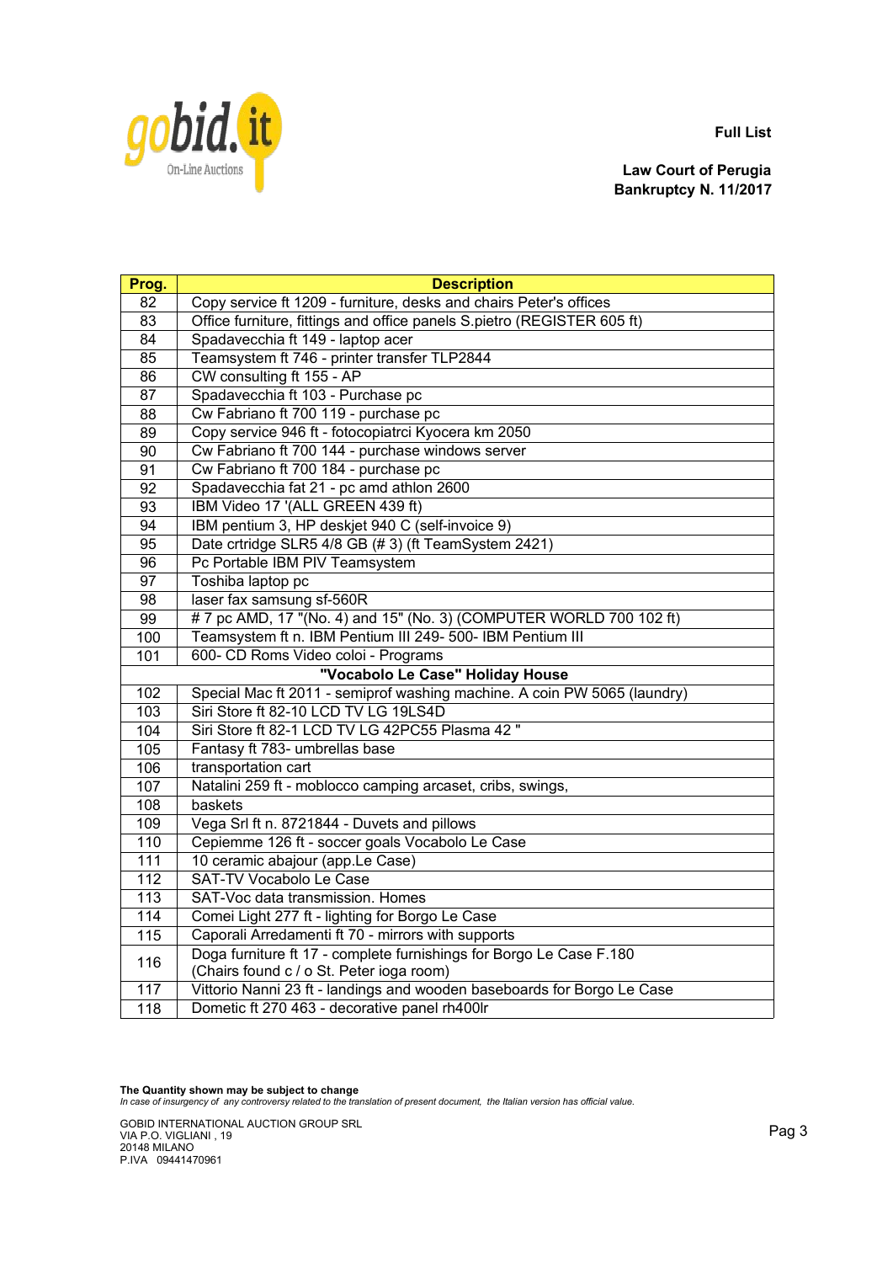

**Law Court of Perugia Bankruptcy N. 11/2017**

| Prog.                            | <b>Description</b>                                                                                              |
|----------------------------------|-----------------------------------------------------------------------------------------------------------------|
| 82                               | Copy service ft 1209 - furniture, desks and chairs Peter's offices                                              |
| 83                               | Office furniture, fittings and office panels S.pietro (REGISTER 605 ft)                                         |
| 84                               | Spadavecchia ft 149 - laptop acer                                                                               |
| 85                               | Teamsystem ft 746 - printer transfer TLP2844                                                                    |
| 86                               | CW consulting ft 155 - AP                                                                                       |
| 87                               | Spadavecchia ft 103 - Purchase pc                                                                               |
| 88                               | Cw Fabriano ft 700 119 - purchase pc                                                                            |
| 89                               | Copy service 946 ft - fotocopiatrci Kyocera km 2050                                                             |
| 90                               | Cw Fabriano ft 700 144 - purchase windows server                                                                |
| 91                               | Cw Fabriano ft 700 184 - purchase pc                                                                            |
| 92                               | Spadavecchia fat 21 - pc amd athlon 2600                                                                        |
| 93                               | IBM Video 17 '(ALL GREEN 439 ft)                                                                                |
| 94                               | IBM pentium 3, HP deskjet 940 C (self-invoice 9)                                                                |
| 95                               | Date crtridge SLR5 4/8 GB (# 3) (ft TeamSystem 2421)                                                            |
| 96                               | Pc Portable IBM PIV Teamsystem                                                                                  |
| 97                               | Toshiba laptop pc                                                                                               |
| 98                               | laser fax samsung sf-560R                                                                                       |
| 99                               | # 7 pc AMD, 17 "(No. 4) and 15" (No. 3) (COMPUTER WORLD 700 102 ft)                                             |
| 100                              | Teamsystem ft n. IBM Pentium III 249- 500- IBM Pentium III                                                      |
| 101                              | 600- CD Roms Video coloi - Programs                                                                             |
| "Vocabolo Le Case" Holiday House |                                                                                                                 |
| 102                              | Special Mac ft 2011 - semiprof washing machine. A coin PW 5065 (laundry)                                        |
| 103                              | Siri Store ft 82-10 LCD TV LG 19LS4D                                                                            |
| 104                              | Siri Store ft 82-1 LCD TV LG 42PC55 Plasma 42 "                                                                 |
| 105                              | Fantasy ft 783- umbrellas base                                                                                  |
| 106                              | transportation cart                                                                                             |
| 107                              | Natalini 259 ft - moblocco camping arcaset, cribs, swings,                                                      |
| 108                              | baskets                                                                                                         |
| 109                              | Vega Srl ft n. 8721844 - Duvets and pillows                                                                     |
| 110                              | Cepiemme 126 ft - soccer goals Vocabolo Le Case                                                                 |
| 111                              | 10 ceramic abajour (app.Le Case)                                                                                |
| 112                              | SAT-TV Vocabolo Le Case                                                                                         |
| 113                              | SAT-Voc data transmission. Homes                                                                                |
| 114                              | Comei Light 277 ft - lighting for Borgo Le Case                                                                 |
| 115                              | Caporali Arredamenti ft 70 - mirrors with supports                                                              |
| 116                              | Doga furniture ft 17 - complete furnishings for Borgo Le Case F.180<br>(Chairs found c / o St. Peter ioga room) |
| 117                              | Vittorio Nanni 23 ft - landings and wooden baseboards for Borgo Le Case                                         |
| 118                              | Dometic ft 270 463 - decorative panel rh400lr                                                                   |

**The Quantity shown may be subject to change** *In case of insurgency of any controversy related to the translation of present document, the Italian version has official value.*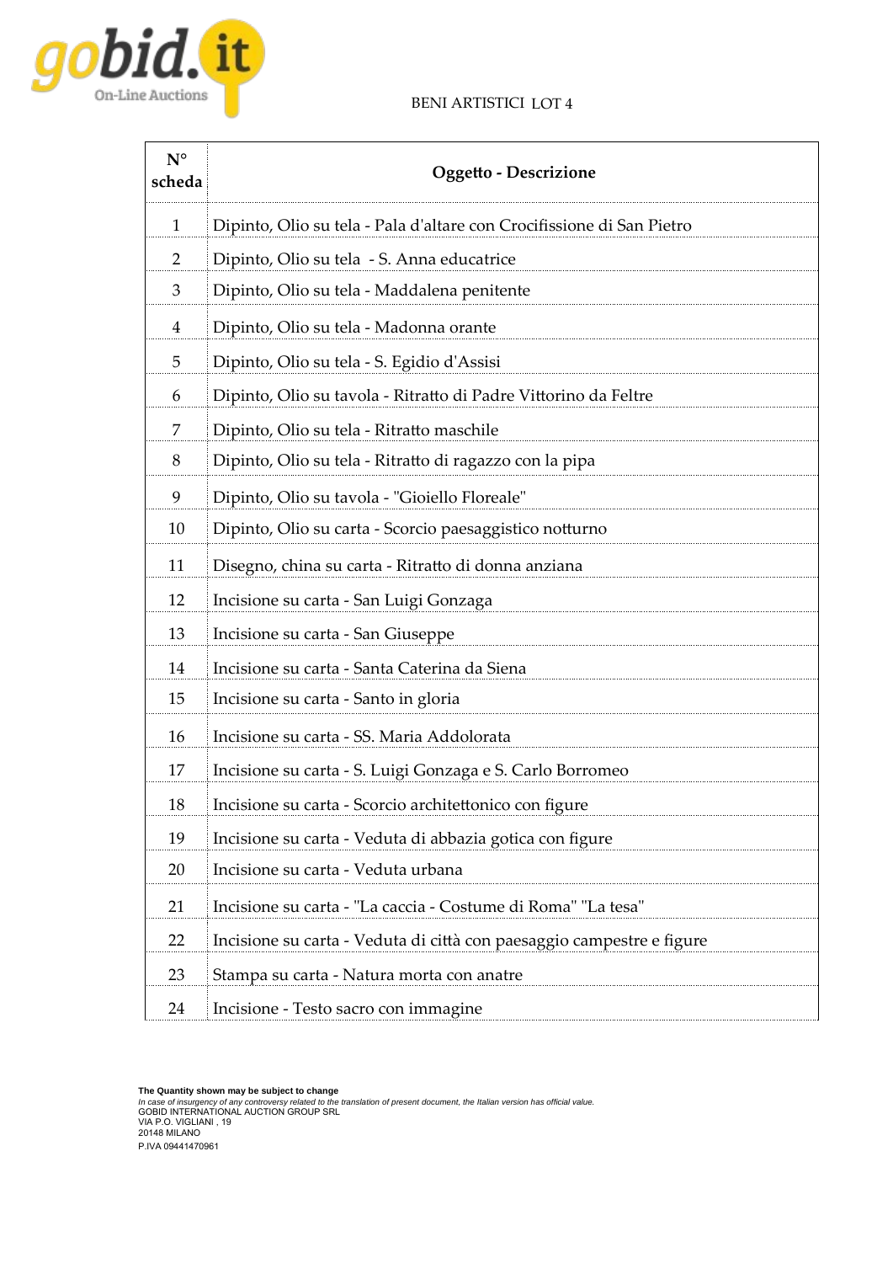### BENI ARTISTICI LOT 4



| $N^{\circ}$<br>scheda | Oggetto - Descrizione                                                 |
|-----------------------|-----------------------------------------------------------------------|
| $\mathbf{1}$          | Dipinto, Olio su tela - Pala d'altare con Crocifissione di San Pietro |
| $\overline{2}$        | Dipinto, Olio su tela - S. Anna educatrice                            |
| 3                     | Dipinto, Olio su tela - Maddalena penitente                           |
| 4                     | Dipinto, Olio su tela - Madonna orante                                |
| 5                     | Dipinto, Olio su tela - S. Egidio d'Assisi                            |
| 6                     | Dipinto, Olio su tavola - Ritratto di Padre Vittorino da Feltre       |
| 7                     | Dipinto, Olio su tela - Ritratto maschile                             |
| 8                     | Dipinto, Olio su tela - Ritratto di ragazzo con la pipa               |
| 9                     | Dipinto, Olio su tavola - "Gioiello Floreale"                         |
| 10                    | Dipinto, Olio su carta - Scorcio paesaggistico notturno               |
| 11                    | Disegno, china su carta - Ritratto di donna anziana                   |
| 12                    | Incisione su carta - San Luigi Gonzaga                                |
| 13                    | Incisione su carta - San Giuseppe                                     |
| 14                    | Incisione su carta - Santa Caterina da Siena                          |
| 15                    | Incisione su carta - Santo in gloria                                  |
| 16                    | Incisione su carta - SS. Maria Addolorata                             |
| 17                    | Incisione su carta - S. Luigi Gonzaga e S. Carlo Borromeo             |
| 18                    | Incisione su carta - Scorcio architettonico con figure                |
| 19                    | Incisione su carta - Veduta di abbazia gotica con figure              |
| 20                    | Incisione su carta - Veduta urbana                                    |
| 21                    | Incisione su carta - "La caccia - Costume di Roma" "La tesa'          |
| 22                    | Incisione su carta - Veduta di città con paesaggio campestre e figure |
| 23                    | Stampa su carta - Natura morta con anatre                             |
| 24                    | Incisione - Testo sacro con immagine                                  |

The Quantity shown may be subject to change<br>In case of insurgency of any controversy related to the translation of present document, the Italian version has official value.<br>GOBID INTERNATIONAL AUCTION GROUP SRL<br>VIA P.O. VI P.IVA 09441470961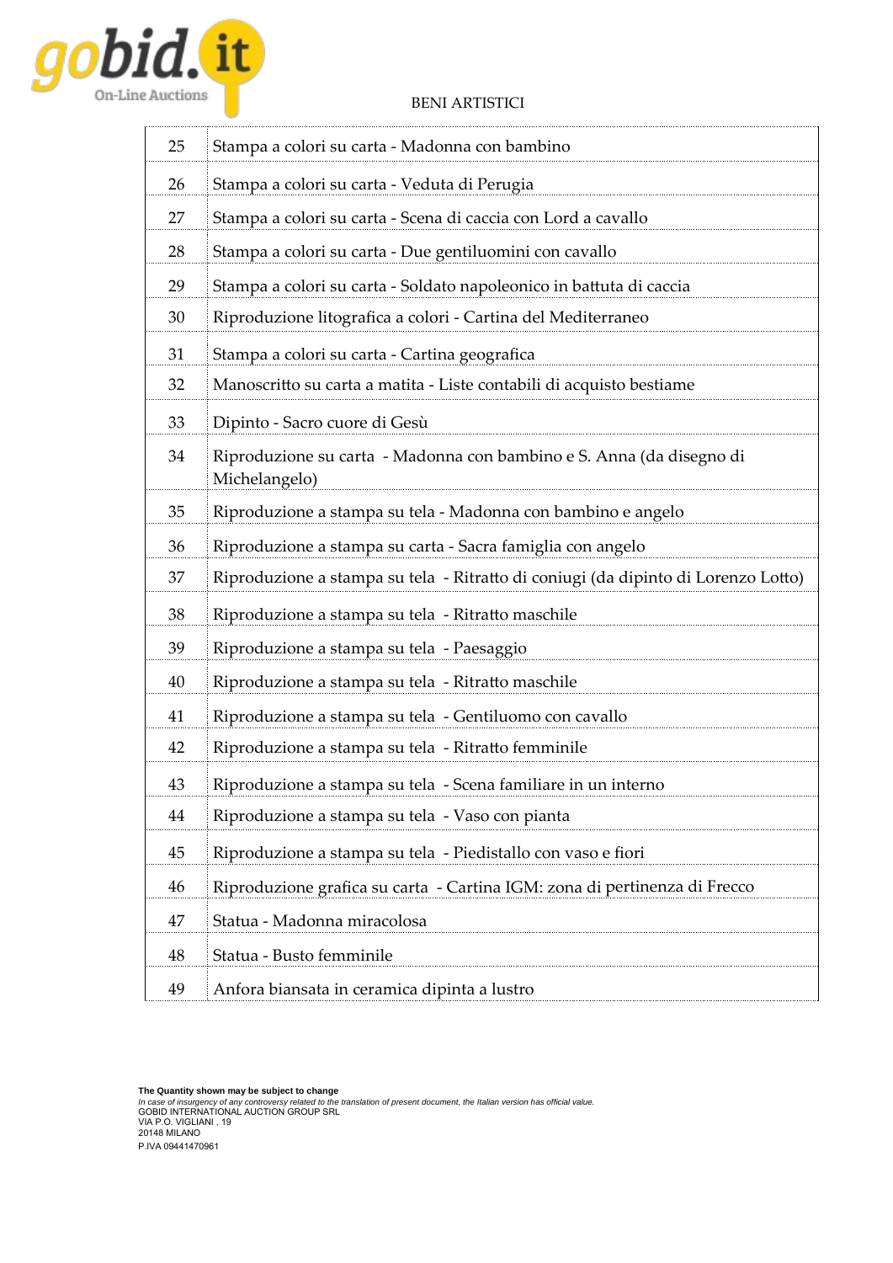

## BENI ARTISTICI